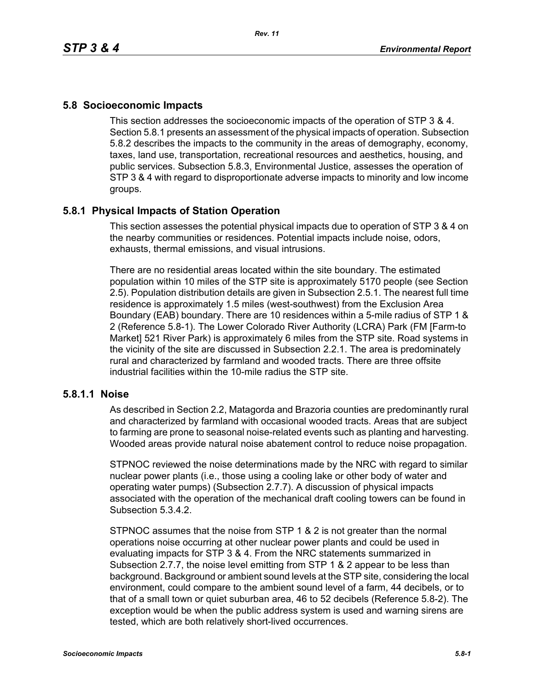## **5.8 Socioeconomic Impacts**

This section addresses the socioeconomic impacts of the operation of STP 3 & 4. Section 5.8.1 presents an assessment of the physical impacts of operation. Subsection 5.8.2 describes the impacts to the community in the areas of demography, economy, taxes, land use, transportation, recreational resources and aesthetics, housing, and public services. Subsection 5.8.3, Environmental Justice, assesses the operation of STP 3 & 4 with regard to disproportionate adverse impacts to minority and low income groups.

# **5.8.1 Physical Impacts of Station Operation**

This section assesses the potential physical impacts due to operation of STP 3 & 4 on the nearby communities or residences. Potential impacts include noise, odors, exhausts, thermal emissions, and visual intrusions.

There are no residential areas located within the site boundary. The estimated population within 10 miles of the STP site is approximately 5170 people (see Section 2.5). Population distribution details are given in Subsection 2.5.1. The nearest full time residence is approximately 1.5 miles (west-southwest) from the Exclusion Area Boundary (EAB) boundary. There are 10 residences within a 5-mile radius of STP 1 & 2 (Reference 5.8-1). The Lower Colorado River Authority (LCRA) Park (FM [Farm-to Market] 521 River Park) is approximately 6 miles from the STP site. Road systems in the vicinity of the site are discussed in Subsection 2.2.1. The area is predominately rural and characterized by farmland and wooded tracts. There are three offsite industrial facilities within the 10-mile radius the STP site.

## **5.8.1.1 Noise**

As described in Section 2.2, Matagorda and Brazoria counties are predominantly rural and characterized by farmland with occasional wooded tracts. Areas that are subject to farming are prone to seasonal noise-related events such as planting and harvesting. Wooded areas provide natural noise abatement control to reduce noise propagation.

STPNOC reviewed the noise determinations made by the NRC with regard to similar nuclear power plants (i.e., those using a cooling lake or other body of water and operating water pumps) (Subsection 2.7.7). A discussion of physical impacts associated with the operation of the mechanical draft cooling towers can be found in Subsection 5.3.4.2.

STPNOC assumes that the noise from STP 1 & 2 is not greater than the normal operations noise occurring at other nuclear power plants and could be used in evaluating impacts for STP 3 & 4. From the NRC statements summarized in Subsection 2.7.7, the noise level emitting from STP 1 & 2 appear to be less than background. Background or ambient sound levels at the STP site, considering the local environment, could compare to the ambient sound level of a farm, 44 decibels, or to that of a small town or quiet suburban area, 46 to 52 decibels (Reference 5.8-2). The exception would be when the public address system is used and warning sirens are tested, which are both relatively short-lived occurrences.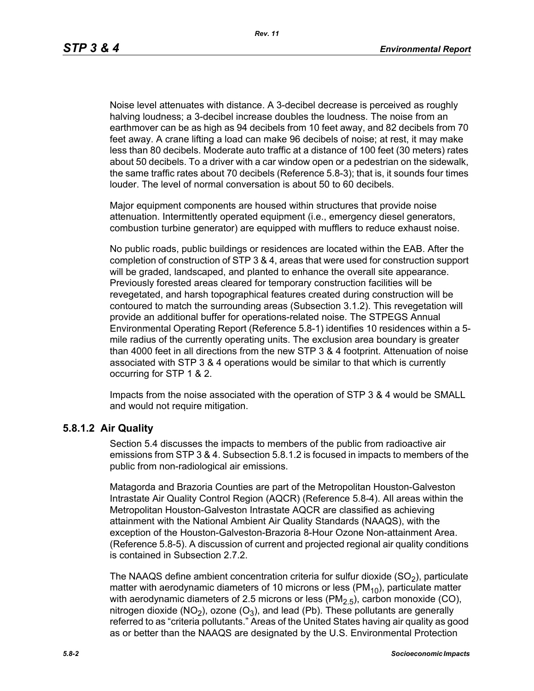Noise level attenuates with distance. A 3-decibel decrease is perceived as roughly halving loudness; a 3-decibel increase doubles the loudness. The noise from an earthmover can be as high as 94 decibels from 10 feet away, and 82 decibels from 70 feet away. A crane lifting a load can make 96 decibels of noise; at rest, it may make less than 80 decibels. Moderate auto traffic at a distance of 100 feet (30 meters) rates about 50 decibels. To a driver with a car window open or a pedestrian on the sidewalk, the same traffic rates about 70 decibels (Reference 5.8-3); that is, it sounds four times louder. The level of normal conversation is about 50 to 60 decibels.

Major equipment components are housed within structures that provide noise attenuation. Intermittently operated equipment (i.e., emergency diesel generators, combustion turbine generator) are equipped with mufflers to reduce exhaust noise.

No public roads, public buildings or residences are located within the EAB. After the completion of construction of STP 3 & 4, areas that were used for construction support will be graded, landscaped, and planted to enhance the overall site appearance. Previously forested areas cleared for temporary construction facilities will be revegetated, and harsh topographical features created during construction will be contoured to match the surrounding areas (Subsection 3.1.2). This revegetation will provide an additional buffer for operations-related noise. The STPEGS Annual Environmental Operating Report (Reference 5.8-1) identifies 10 residences within a 5 mile radius of the currently operating units. The exclusion area boundary is greater than 4000 feet in all directions from the new STP 3 & 4 footprint. Attenuation of noise associated with STP 3 & 4 operations would be similar to that which is currently occurring for STP 1 & 2.

Impacts from the noise associated with the operation of STP 3 & 4 would be SMALL and would not require mitigation.

### **5.8.1.2 Air Quality**

Section 5.4 discusses the impacts to members of the public from radioactive air emissions from STP 3 & 4. Subsection 5.8.1.2 is focused in impacts to members of the public from non-radiological air emissions.

Matagorda and Brazoria Counties are part of the Metropolitan Houston-Galveston Intrastate Air Quality Control Region (AQCR) (Reference 5.8-4). All areas within the Metropolitan Houston-Galveston Intrastate AQCR are classified as achieving attainment with the National Ambient Air Quality Standards (NAAQS), with the exception of the Houston-Galveston-Brazoria 8-Hour Ozone Non-attainment Area. (Reference 5.8-5). A discussion of current and projected regional air quality conditions is contained in Subsection 2.7.2.

The NAAQS define ambient concentration criteria for sulfur dioxide  $(SO<sub>2</sub>)$ , particulate matter with aerodynamic diameters of 10 microns or less ( $PM_{10}$ ), particulate matter with aerodynamic diameters of 2.5 microns or less  $(PM<sub>2.5</sub>)$ , carbon monoxide (CO), nitrogen dioxide (NO<sub>2</sub>), ozone (O<sub>3</sub>), and lead (Pb). These pollutants are generally referred to as "criteria pollutants." Areas of the United States having air quality as good as or better than the NAAQS are designated by the U.S. Environmental Protection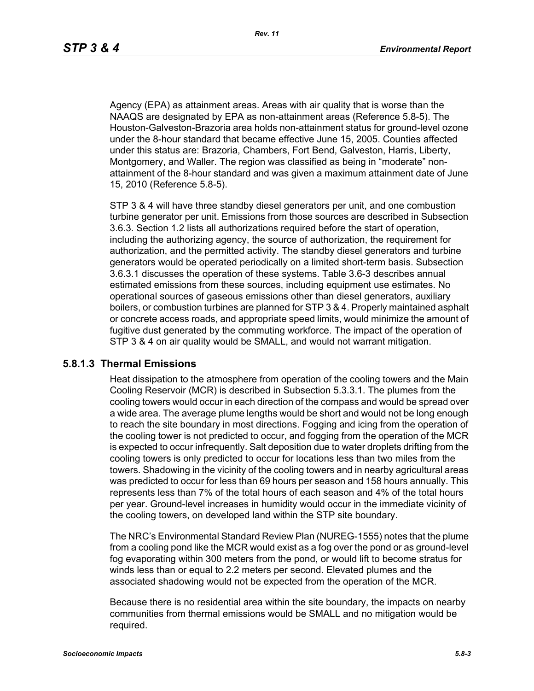Agency (EPA) as attainment areas. Areas with air quality that is worse than the NAAQS are designated by EPA as non-attainment areas (Reference 5.8-5). The Houston-Galveston-Brazoria area holds non-attainment status for ground-level ozone under the 8-hour standard that became effective June 15, 2005. Counties affected under this status are: Brazoria, Chambers, Fort Bend, Galveston, Harris, Liberty, Montgomery, and Waller. The region was classified as being in "moderate" nonattainment of the 8-hour standard and was given a maximum attainment date of June 15, 2010 (Reference 5.8-5).

STP 3 & 4 will have three standby diesel generators per unit, and one combustion turbine generator per unit. Emissions from those sources are described in Subsection 3.6.3. Section 1.2 lists all authorizations required before the start of operation, including the authorizing agency, the source of authorization, the requirement for authorization, and the permitted activity. The standby diesel generators and turbine generators would be operated periodically on a limited short-term basis. Subsection 3.6.3.1 discusses the operation of these systems. Table 3.6-3 describes annual estimated emissions from these sources, including equipment use estimates. No operational sources of gaseous emissions other than diesel generators, auxiliary boilers, or combustion turbines are planned for STP 3 & 4. Properly maintained asphalt or concrete access roads, and appropriate speed limits, would minimize the amount of fugitive dust generated by the commuting workforce. The impact of the operation of STP 3 & 4 on air quality would be SMALL, and would not warrant mitigation.

### **5.8.1.3 Thermal Emissions**

Heat dissipation to the atmosphere from operation of the cooling towers and the Main Cooling Reservoir (MCR) is described in Subsection 5.3.3.1. The plumes from the cooling towers would occur in each direction of the compass and would be spread over a wide area. The average plume lengths would be short and would not be long enough to reach the site boundary in most directions. Fogging and icing from the operation of the cooling tower is not predicted to occur, and fogging from the operation of the MCR is expected to occur infrequently. Salt deposition due to water droplets drifting from the cooling towers is only predicted to occur for locations less than two miles from the towers. Shadowing in the vicinity of the cooling towers and in nearby agricultural areas was predicted to occur for less than 69 hours per season and 158 hours annually. This represents less than 7% of the total hours of each season and 4% of the total hours per year. Ground-level increases in humidity would occur in the immediate vicinity of the cooling towers, on developed land within the STP site boundary.

The NRC's Environmental Standard Review Plan (NUREG-1555) notes that the plume from a cooling pond like the MCR would exist as a fog over the pond or as ground-level fog evaporating within 300 meters from the pond, or would lift to become stratus for winds less than or equal to 2.2 meters per second. Elevated plumes and the associated shadowing would not be expected from the operation of the MCR.

Because there is no residential area within the site boundary, the impacts on nearby communities from thermal emissions would be SMALL and no mitigation would be required.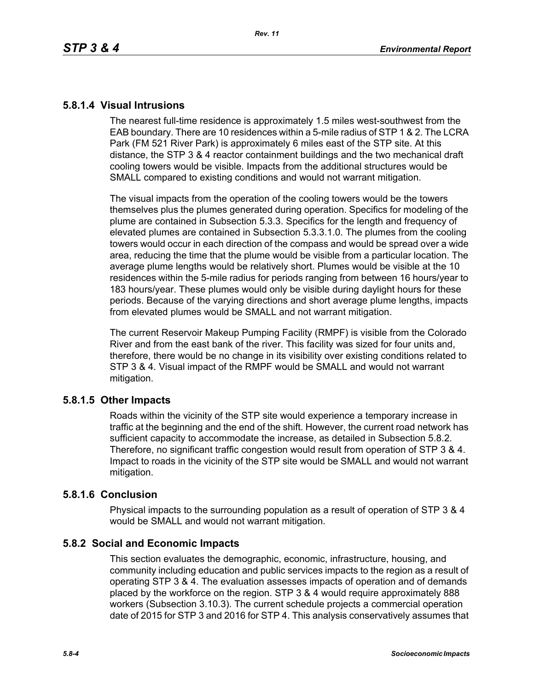## **5.8.1.4 Visual Intrusions**

The nearest full-time residence is approximately 1.5 miles west-southwest from the EAB boundary. There are 10 residences within a 5-mile radius of STP 1 & 2. The LCRA Park (FM 521 River Park) is approximately 6 miles east of the STP site. At this distance, the STP 3 & 4 reactor containment buildings and the two mechanical draft cooling towers would be visible. Impacts from the additional structures would be SMALL compared to existing conditions and would not warrant mitigation.

The visual impacts from the operation of the cooling towers would be the towers themselves plus the plumes generated during operation. Specifics for modeling of the plume are contained in Subsection 5.3.3. Specifics for the length and frequency of elevated plumes are contained in Subsection 5.3.3.1.0. The plumes from the cooling towers would occur in each direction of the compass and would be spread over a wide area, reducing the time that the plume would be visible from a particular location. The average plume lengths would be relatively short. Plumes would be visible at the 10 residences within the 5-mile radius for periods ranging from between 16 hours/year to 183 hours/year. These plumes would only be visible during daylight hours for these periods. Because of the varying directions and short average plume lengths, impacts from elevated plumes would be SMALL and not warrant mitigation.

The current Reservoir Makeup Pumping Facility (RMPF) is visible from the Colorado River and from the east bank of the river. This facility was sized for four units and, therefore, there would be no change in its visibility over existing conditions related to STP 3 & 4. Visual impact of the RMPF would be SMALL and would not warrant mitigation.

# **5.8.1.5 Other Impacts**

Roads within the vicinity of the STP site would experience a temporary increase in traffic at the beginning and the end of the shift. However, the current road network has sufficient capacity to accommodate the increase, as detailed in Subsection 5.8.2. Therefore, no significant traffic congestion would result from operation of STP 3 & 4. Impact to roads in the vicinity of the STP site would be SMALL and would not warrant mitigation.

## **5.8.1.6 Conclusion**

Physical impacts to the surrounding population as a result of operation of STP 3 & 4 would be SMALL and would not warrant mitigation.

# **5.8.2 Social and Economic Impacts**

This section evaluates the demographic, economic, infrastructure, housing, and community including education and public services impacts to the region as a result of operating STP 3 & 4. The evaluation assesses impacts of operation and of demands placed by the workforce on the region. STP 3 & 4 would require approximately 888 workers (Subsection 3.10.3). The current schedule projects a commercial operation date of 2015 for STP 3 and 2016 for STP 4. This analysis conservatively assumes that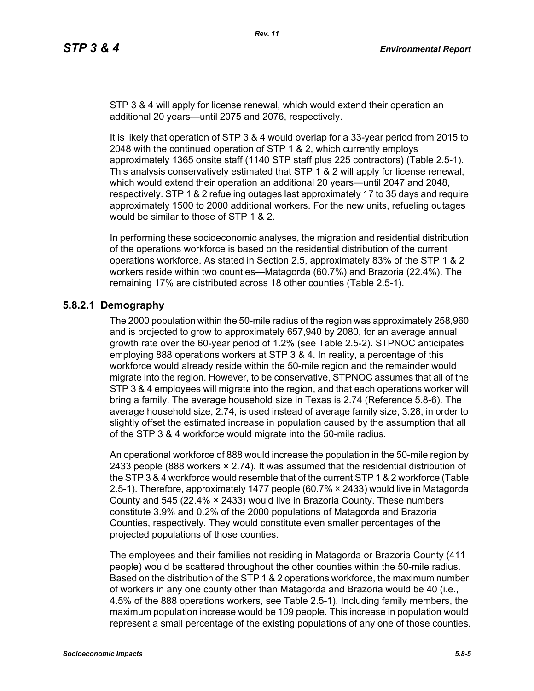STP 3 & 4 will apply for license renewal, which would extend their operation an additional 20 years—until 2075 and 2076, respectively.

It is likely that operation of STP 3 & 4 would overlap for a 33-year period from 2015 to 2048 with the continued operation of STP 1 & 2, which currently employs approximately 1365 onsite staff (1140 STP staff plus 225 contractors) (Table 2.5-1). This analysis conservatively estimated that STP 1 & 2 will apply for license renewal, which would extend their operation an additional 20 years—until 2047 and 2048, respectively. STP 1 & 2 refueling outages last approximately 17 to 35 days and require approximately 1500 to 2000 additional workers. For the new units, refueling outages would be similar to those of STP 1 & 2.

In performing these socioeconomic analyses, the migration and residential distribution of the operations workforce is based on the residential distribution of the current operations workforce. As stated in Section 2.5, approximately 83% of the STP 1 & 2 workers reside within two counties—Matagorda (60.7%) and Brazoria (22.4%). The remaining 17% are distributed across 18 other counties (Table 2.5-1).

# **5.8.2.1 Demography**

The 2000 population within the 50-mile radius of the region was approximately 258,960 and is projected to grow to approximately 657,940 by 2080, for an average annual growth rate over the 60-year period of 1.2% (see Table 2.5-2). STPNOC anticipates employing 888 operations workers at STP 3 & 4. In reality, a percentage of this workforce would already reside within the 50-mile region and the remainder would migrate into the region. However, to be conservative, STPNOC assumes that all of the STP 3 & 4 employees will migrate into the region, and that each operations worker will bring a family. The average household size in Texas is 2.74 (Reference 5.8-6). The average household size, 2.74, is used instead of average family size, 3.28, in order to slightly offset the estimated increase in population caused by the assumption that all of the STP 3 & 4 workforce would migrate into the 50-mile radius.

An operational workforce of 888 would increase the population in the 50-mile region by 2433 people (888 workers  $\times$  2.74). It was assumed that the residential distribution of [the STP 3 & 4 workforce would resemble that of the current STP 1 & 2 workforce \(Table](http://www.stats.bls.gov/)  2.5-1). Therefore, approximately 1477 people (60.7% × 2433) would live in Matagorda County and 545 (22.4% × 2433) would live in Brazoria County. These numbers constitute 3.9% and 0.2% of the 2000 populations of Matagorda and Brazoria Counties, respectively. They would constitute even smaller percentages of the projected populations of those counties.

The employees and their families not residing in Matagorda or Brazoria County (411 people) would be scattered throughout the other counties within the 50-mile radius. Based on the distribution of the STP 1 & 2 operations workforce, the maximum number of workers in any one county other than Matagorda and Brazoria would be 40 (i.e., 4.5% of the 888 operations workers, see Table 2.5-1). Including family members, the maximum population increase would be 109 people. This increase in population would represent a small percentage of the existing populations of any one of those counties.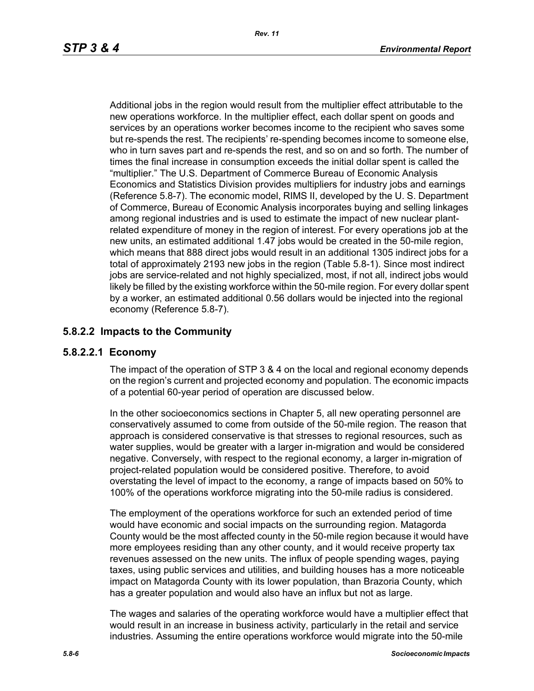Additional jobs in the region would result from the multiplier effect attributable to the new operations workforce. In the multiplier effect, each dollar spent on goods and services by an operations worker becomes income to the recipient who saves some but re-spends the rest. The recipients' re-spending becomes income to someone else, who in turn saves part and re-spends the rest, and so on and so forth. The number of times the final increase in consumption exceeds the initial dollar spent is called the "multiplier." The U.S. Department of Commerce Bureau of Economic Analysis Economics and Statistics Division provides multipliers for industry jobs and earnings (Reference 5.8-7). The economic model, RIMS II, developed by the U. S. Department of Commerce, Bureau of Economic Analysis incorporates buying and selling linkages among regional industries and is used to estimate the impact of new nuclear plantrelated expenditure of money in the region of interest. For every operations job at the new units, an estimated additional 1.47 jobs would be created in the 50-mile region, which means that 888 direct jobs would result in an additional 1305 indirect jobs for a total of approximately 2193 new jobs in the region (Table 5.8-1). Since most indirect jobs are service-related and not highly specialized, most, if not all, indirect jobs would likely be filled by the existing workforce within the 50-mile region. For every dollar spent by a worker, an estimated additional 0.56 dollars would be injected into the regional economy (Reference 5.8-7).

# **5.8.2.2 Impacts to the Community**

# **5.8.2.2.1 Economy**

The impact of the operation of STP 3 & 4 on the local and regional economy depends on the region's current and projected economy and population. The economic impacts of a potential 60-year period of operation are discussed below.

In the other socioeconomics sections in Chapter 5, all new operating personnel are conservatively assumed to come from outside of the 50-mile region. The reason that approach is considered conservative is that stresses to regional resources, such as water supplies, would be greater with a larger in-migration and would be considered negative. Conversely, with respect to the regional economy, a larger in-migration of project-related population would be considered positive. Therefore, to avoid overstating the level of impact to the economy, a range of impacts based on 50% to 100% of the operations workforce migrating into the 50-mile radius is considered.

The employment of the operations workforce for such an extended period of time would have economic and social impacts on the surrounding region. Matagorda County would be the most affected county in the 50-mile region because it would have more employees residing than any other county, and it would receive property tax revenues assessed on the new units. The influx of people spending wages, paying taxes, using public services and utilities, and building houses has a more noticeable impact on Matagorda County with its lower population, than Brazoria County, which has a greater population and would also have an influx but not as large.

The wages and salaries of the operating workforce would have a multiplier effect that would result in an increase in business activity, particularly in the retail and service industries. Assuming the entire operations workforce would migrate into the 50-mile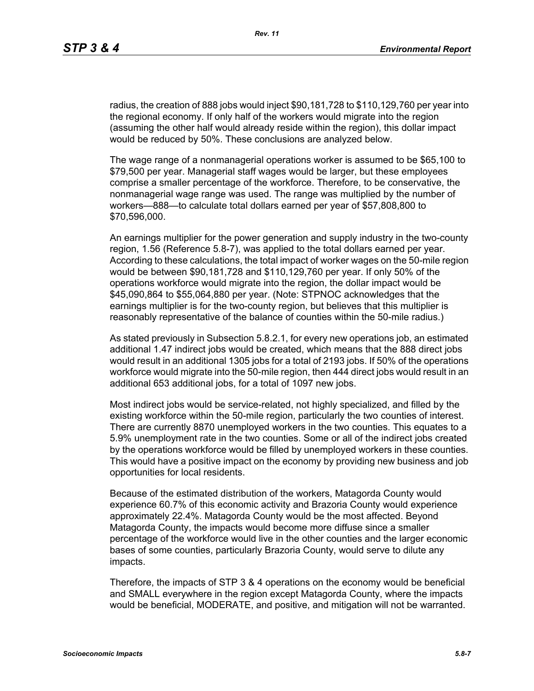radius, the creation of 888 jobs would inject \$90,181,728 to \$110,129,760 per year into the regional economy. If only half of the workers would migrate into the region (assuming the other half would already reside within the region), this dollar impact would be reduced by 50%. These conclusions are analyzed below.

The wage range of a nonmanagerial operations worker is assumed to be \$65,100 to \$79,500 per year. Managerial staff wages would be larger, but these employees comprise a smaller percentage of the workforce. Therefore, to be conservative, the nonmanagerial wage range was used. The range was multiplied by the number of workers—888—to calculate total dollars earned per year of \$57,808,800 to \$70,596,000.

An earnings multiplier for the power generation and supply industry in the two-county region, 1.56 (Reference 5.8-7), was applied to the total dollars earned per year. According to these calculations, the total impact of worker wages on the 50-mile region would be between \$90,181,728 and \$110,129,760 per year. If only 50% of the operations workforce would migrate into the region, the dollar impact would be \$45,090,864 to \$55,064,880 per year. (Note: STPNOC acknowledges that the earnings multiplier is for the two-county region, but believes that this multiplier is reasonably representative of the balance of counties within the 50-mile radius.)

As stated previously in Subsection 5.8.2.1, for every new operations job, an estimated additional 1.47 indirect jobs would be created, which means that the 888 direct jobs would result in an additional 1305 jobs for a total of 2193 jobs. If 50% of the operations workforce would migrate into the 50-mile region, then 444 direct jobs would result in an additional 653 additional jobs, for a total of 1097 new jobs.

Most indirect jobs would be service-related, not highly specialized, and filled by the existing workforce within the 50-mile region, particularly the two counties of interest. There are currently 8870 unemployed workers in the two counties. This equates to a 5.9% unemployment rate in the two counties. Some or all of the indirect jobs created by the operations workforce would be filled by unemployed workers in these counties. This would have a positive impact on the economy by providing new business and job opportunities for local residents.

Because of the estimated distribution of the workers, Matagorda County would experience 60.7% of this economic activity and Brazoria County would experience approximately 22.4%. Matagorda County would be the most affected. Beyond Matagorda County, the impacts would become more diffuse since a smaller percentage of the workforce would live in the other counties and the larger economic bases of some counties, particularly Brazoria County, would serve to dilute any impacts.

Therefore, the impacts of STP 3 & 4 operations on the economy would be beneficial and SMALL everywhere in the region except Matagorda County, where the impacts would be beneficial, MODERATE, and positive, and mitigation will not be warranted.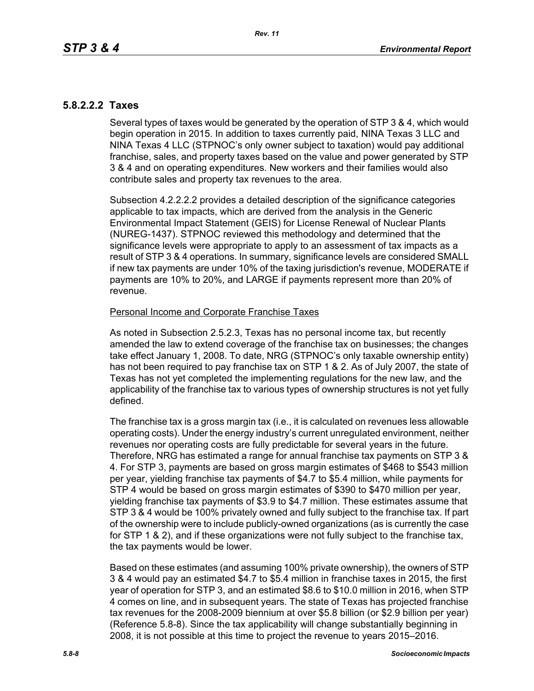# **5.8.2.2.2 Taxes**

Several types of taxes would be generated by the operation of STP 3 & 4, which would begin operation in 2015. In addition to taxes currently paid, NINA Texas 3 LLC and NINA Texas 4 LLC (STPNOC's only owner subject to taxation) would pay additional franchise, sales, and property taxes based on the value and power generated by STP 3 & 4 and on operating expenditures. New workers and their families would also contribute sales and property tax revenues to the area.

Subsection 4.2.2.2.2 provides a detailed description of the significance categories applicable to tax impacts, which are derived from the analysis in the Generic Environmental Impact Statement (GEIS) for License Renewal of Nuclear Plants (NUREG-1437). STPNOC reviewed this methodology and determined that the significance levels were appropriate to apply to an assessment of tax impacts as a result of STP 3 & 4 operations. In summary, significance levels are considered SMALL if new tax payments are under 10% of the taxing jurisdiction's revenue, MODERATE if payments are 10% to 20%, and LARGE if payments represent more than 20% of revenue.

#### Personal Income and Corporate Franchise Taxes

As noted in Subsection 2.5.2.3, Texas has no personal income tax, but recently amended the law to extend coverage of the franchise tax on businesses; the changes take effect January 1, 2008. To date, NRG (STPNOC's only taxable ownership entity) has not been required to pay franchise tax on STP 1 & 2. As of July 2007, the state of Texas has not yet completed the implementing regulations for the new law, and the applicability of the franchise tax to various types of ownership structures is not yet fully defined.

The franchise tax is a gross margin tax (i.e., it is calculated on revenues less allowable operating costs). Under the energy industry's current unregulated environment, neither revenues nor operating costs are fully predictable for several years in the future. Therefore, NRG has estimated a range for annual franchise tax payments on STP 3 & 4. For STP 3, payments are based on gross margin estimates of \$468 to \$543 million per year, yielding franchise tax payments of \$4.7 to \$5.4 million, while payments for STP 4 would be based on gross margin estimates of \$390 to \$470 million per year, yielding franchise tax payments of \$3.9 to \$4.7 million. These estimates assume that STP 3 & 4 would be 100% privately owned and fully subject to the franchise tax. If part of the ownership were to include publicly-owned organizations (as is currently the case for STP 1 & 2), and if these organizations were not fully subject to the franchise tax, the tax payments would be lower.

Based on these estimates (and assuming 100% private ownership), the owners of STP 3 & 4 would pay an estimated \$4.7 to \$5.4 million in franchise taxes in 2015, the first year of operation for STP 3, and an estimated \$8.6 to \$10.0 million in 2016, when STP 4 comes on line, and in subsequent years. The state of Texas has projected franchise tax revenues for the 2008-2009 biennium at over \$5.8 billion (or \$2.9 billion per year) (Reference 5.8-8). Since the tax applicability will change substantially beginning in 2008, it is not possible at this time to project the revenue to years 2015–2016.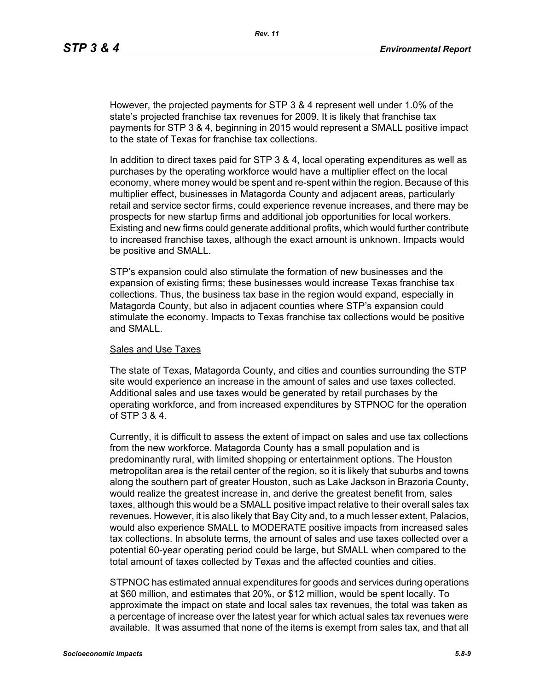However, the projected payments for STP 3 & 4 represent well under 1.0% of the state's projected franchise tax revenues for 2009. It is likely that franchise tax payments for STP 3 & 4, beginning in 2015 would represent a SMALL positive impact to the state of Texas for franchise tax collections.

In addition to direct taxes paid for STP 3 & 4, local operating expenditures as well as purchases by the operating workforce would have a multiplier effect on the local economy, where money would be spent and re-spent within the region. Because of this multiplier effect, businesses in Matagorda County and adjacent areas, particularly retail and service sector firms, could experience revenue increases, and there may be prospects for new startup firms and additional job opportunities for local workers. Existing and new firms could generate additional profits, which would further contribute to increased franchise taxes, although the exact amount is unknown. Impacts would be positive and SMALL.

STP's expansion could also stimulate the formation of new businesses and the expansion of existing firms; these businesses would increase Texas franchise tax collections. Thus, the business tax base in the region would expand, especially in Matagorda County, but also in adjacent counties where STP's expansion could stimulate the economy. Impacts to Texas franchise tax collections would be positive and SMALL.

#### Sales and Use Taxes

The state of Texas, Matagorda County, and cities and counties surrounding the STP site would experience an increase in the amount of sales and use taxes collected. Additional sales and use taxes would be generated by retail purchases by the operating workforce, and from increased expenditures by STPNOC for the operation of STP 3 & 4.

Currently, it is difficult to assess the extent of impact on sales and use tax collections from the new workforce. Matagorda County has a small population and is predominantly rural, with limited shopping or entertainment options. The Houston metropolitan area is the retail center of the region, so it is likely that suburbs and towns along the southern part of greater Houston, such as Lake Jackson in Brazoria County, would realize the greatest increase in, and derive the greatest benefit from, sales taxes, although this would be a SMALL positive impact relative to their overall sales tax revenues. However, it is also likely that Bay City and, to a much lesser extent, Palacios, would also experience SMALL to MODERATE positive impacts from increased sales tax collections. In absolute terms, the amount of sales and use taxes collected over a potential 60-year operating period could be large, but SMALL when compared to the total amount of taxes collected by Texas and the affected counties and cities.

STPNOC has estimated annual expenditures for goods and services during operations at \$60 million, and estimates that 20%, or \$12 million, would be spent locally. To approximate the impact on state and local sales tax revenues, the total was taken as a percentage of increase over the latest year for which actual sales tax revenues were available. It was assumed that none of the items is exempt from sales tax, and that all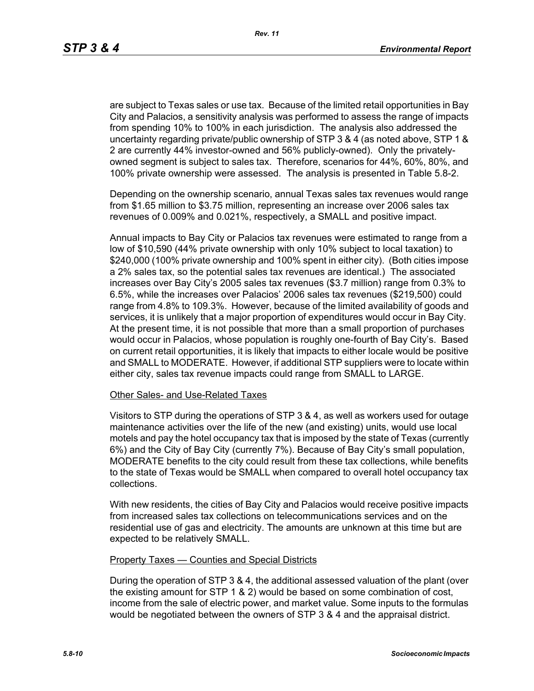are subject to Texas sales or use tax. Because of the limited retail opportunities in Bay City and Palacios, a sensitivity analysis was performed to assess the range of impacts from spending 10% to 100% in each jurisdiction. The analysis also addressed the uncertainty regarding private/public ownership of STP 3 & 4 (as noted above, STP 1 & 2 are currently 44% investor-owned and 56% publicly-owned). Only the privatelyowned segment is subject to sales tax. Therefore, scenarios for 44%, 60%, 80%, and 100% private ownership were assessed. The analysis is presented in Table 5.8-2.

Depending on the ownership scenario, annual Texas sales tax revenues would range from \$1.65 million to \$3.75 million, representing an increase over 2006 sales tax revenues of 0.009% and 0.021%, respectively, a SMALL and positive impact.

Annual impacts to Bay City or Palacios tax revenues were estimated to range from a low of \$10,590 (44% private ownership with only 10% subject to local taxation) to \$240,000 (100% private ownership and 100% spent in either city). (Both cities impose a 2% sales tax, so the potential sales tax revenues are identical.) The associated increases over Bay City's 2005 sales tax revenues (\$3.7 million) range from 0.3% to 6.5%, while the increases over Palacios' 2006 sales tax revenues (\$219,500) could range from 4.8% to 109.3%. However, because of the limited availability of goods and services, it is unlikely that a major proportion of expenditures would occur in Bay City. At the present time, it is not possible that more than a small proportion of purchases would occur in Palacios, whose population is roughly one-fourth of Bay City's. Based on current retail opportunities, it is likely that impacts to either locale would be positive and SMALL to MODERATE. However, if additional STP suppliers were to locate within either city, sales tax revenue impacts could range from SMALL to LARGE.

#### Other Sales- and Use-Related Taxes

Visitors to STP during the operations of STP 3 & 4, as well as workers used for outage maintenance activities over the life of the new (and existing) units, would use local motels and pay the hotel occupancy tax that is imposed by the state of Texas (currently 6%) and the City of Bay City (currently 7%). Because of Bay City's small population, MODERATE benefits to the city could result from these tax collections, while benefits to the state of Texas would be SMALL when compared to overall hotel occupancy tax collections.

With new residents, the cities of Bay City and Palacios would receive positive impacts from increased sales tax collections on telecommunications services and on the residential use of gas and electricity. The amounts are unknown at this time but are expected to be relatively SMALL.

#### Property Taxes — Counties and Special Districts

During the operation of STP 3 & 4, the additional assessed valuation of the plant (over the existing amount for STP 1 & 2) would be based on some combination of cost, income from the sale of electric power, and market value. Some inputs to the formulas would be negotiated between the owners of STP 3 & 4 and the appraisal district.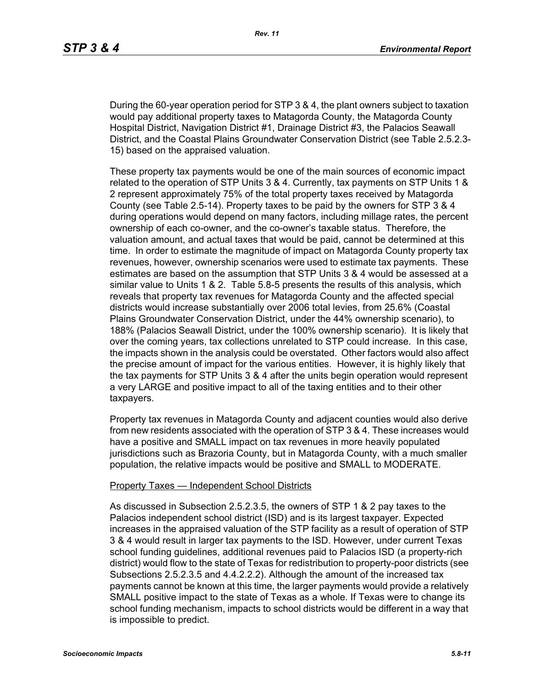During the 60-year operation period for STP 3 & 4, the plant owners subject to taxation would pay additional property taxes to Matagorda County, the Matagorda County Hospital District, Navigation District #1, Drainage District #3, the Palacios Seawall District, and the Coastal Plains Groundwater Conservation District (see Table 2.5.2.3- 15) based on the appraised valuation.

These property tax payments would be one of the main sources of economic impact related to the operation of STP Units 3 & 4. Currently, tax payments on STP Units 1 & 2 represent approximately 75% of the total property taxes received by Matagorda County (see Table 2.5-14). Property taxes to be paid by the owners for STP 3 & 4 during operations would depend on many factors, including millage rates, the percent ownership of each co-owner, and the co-owner's taxable status. Therefore, the valuation amount, and actual taxes that would be paid, cannot be determined at this time. In order to estimate the magnitude of impact on Matagorda County property tax revenues, however, ownership scenarios were used to estimate tax payments. These estimates are based on the assumption that STP Units 3 & 4 would be assessed at a similar value to Units 1 & 2. Table 5.8-5 presents the results of this analysis, which reveals that property tax revenues for Matagorda County and the affected special districts would increase substantially over 2006 total levies, from 25.6% (Coastal Plains Groundwater Conservation District, under the 44% ownership scenario), to 188% (Palacios Seawall District, under the 100% ownership scenario). It is likely that over the coming years, tax collections unrelated to STP could increase. In this case, the impacts shown in the analysis could be overstated. Other factors would also affect the precise amount of impact for the various entities. However, it is highly likely that the tax payments for STP Units 3 & 4 after the units begin operation would represent a very LARGE and positive impact to all of the taxing entities and to their other taxpayers.

Property tax revenues in Matagorda County and adjacent counties would also derive from new residents associated with the operation of STP 3 & 4. These increases would have a positive and SMALL impact on tax revenues in more heavily populated jurisdictions such as Brazoria County, but in Matagorda County, with a much smaller population, the relative impacts would be positive and SMALL to MODERATE.

#### Property Taxes — Independent School Districts

As discussed in Subsection 2.5.2.3.5, the owners of STP 1 & 2 pay taxes to the Palacios independent school district (ISD) and is its largest taxpayer. Expected increases in the appraised valuation of the STP facility as a result of operation of STP 3 & 4 would result in larger tax payments to the ISD. However, under current Texas school funding guidelines, additional revenues paid to Palacios ISD (a property-rich district) would flow to the state of Texas for redistribution to property-poor districts (see Subsections 2.5.2.3.5 and 4.4.2.2.2). Although the amount of the increased tax payments cannot be known at this time, the larger payments would provide a relatively SMALL positive impact to the state of Texas as a whole. If Texas were to change its school funding mechanism, impacts to school districts would be different in a way that is impossible to predict.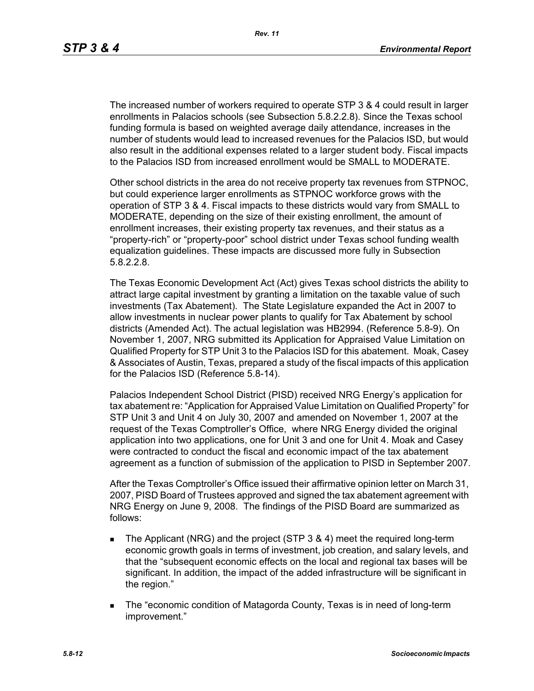The increased number of workers required to operate STP 3 & 4 could result in larger enrollments in Palacios schools (see Subsection 5.8.2.2.8). Since the Texas school funding formula is based on weighted average daily attendance, increases in the number of students would lead to increased revenues for the Palacios ISD, but would also result in the additional expenses related to a larger student body. Fiscal impacts to the Palacios ISD from increased enrollment would be SMALL to MODERATE.

Other school districts in the area do not receive property tax revenues from STPNOC, but could experience larger enrollments as STPNOC workforce grows with the operation of STP 3 & 4. Fiscal impacts to these districts would vary from SMALL to MODERATE, depending on the size of their existing enrollment, the amount of enrollment increases, their existing property tax revenues, and their status as a "property-rich" or "property-poor" school district under Texas school funding wealth equalization guidelines. These impacts are discussed more fully in Subsection 5.8.2.2.8.

The Texas Economic Development Act (Act) gives Texas school districts the ability to attract large capital investment by granting a limitation on the taxable value of such investments (Tax Abatement). The State Legislature expanded the Act in 2007 to allow investments in nuclear power plants to qualify for Tax Abatement by school districts (Amended Act). The actual legislation was HB2994. (Reference 5.8-9). On November 1, 2007, NRG submitted its Application for Appraised Value Limitation on Qualified Property for STP Unit 3 to the Palacios ISD for this abatement. Moak, Casey & Associates of Austin, Texas, prepared a study of the fiscal impacts of this application for the Palacios ISD (Reference 5.8-14).

Palacios Independent School District (PISD) received NRG Energy's application for tax abatement re: "Application for Appraised Value Limitation on Qualified Property" for STP Unit 3 and Unit 4 on July 30, 2007 and amended on November 1, 2007 at the request of the Texas Comptroller's Office, where NRG Energy divided the original application into two applications, one for Unit 3 and one for Unit 4. Moak and Casey were contracted to conduct the fiscal and economic impact of the tax abatement agreement as a function of submission of the application to PISD in September 2007.

After the Texas Comptroller's Office issued their affirmative opinion letter on March 31, 2007, PISD Board of Trustees approved and signed the tax abatement agreement with NRG Energy on June 9, 2008. The findings of the PISD Board are summarized as follows:

- The Applicant (NRG) and the project (STP 3 & 4) meet the required long-term economic growth goals in terms of investment, job creation, and salary levels, and that the "subsequent economic effects on the local and regional tax bases will be significant. In addition, the impact of the added infrastructure will be significant in the region."
- The "economic condition of Matagorda County, Texas is in need of long-term improvement."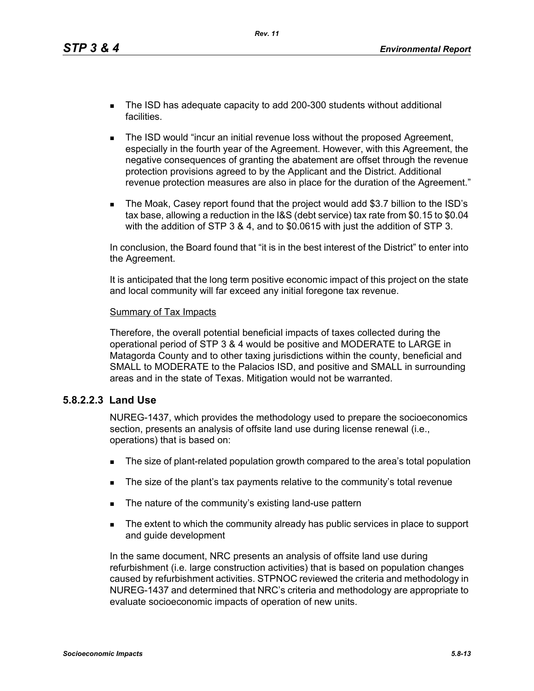*Rev. 11*

- The ISD has adequate capacity to add 200-300 students without additional facilities.
- **The ISD would "incur an initial revenue loss without the proposed Agreement,** especially in the fourth year of the Agreement. However, with this Agreement, the negative consequences of granting the abatement are offset through the revenue protection provisions agreed to by the Applicant and the District. Additional revenue protection measures are also in place for the duration of the Agreement."
- The Moak, Casey report found that the project would add \$3.7 billion to the ISD's tax base, allowing a reduction in the I&S (debt service) tax rate from \$0.15 to \$0.04 with the addition of STP 3 & 4, and to \$0.0615 with just the addition of STP 3.

In conclusion, the Board found that "it is in the best interest of the District" to enter into the Agreement.

It is anticipated that the long term positive economic impact of this project on the state and local community will far exceed any initial foregone tax revenue.

#### Summary of Tax Impacts

Therefore, the overall potential beneficial impacts of taxes collected during the operational period of STP 3 & 4 would be positive and MODERATE to LARGE in Matagorda County and to other taxing jurisdictions within the county, beneficial and SMALL to MODERATE to the Palacios ISD, and positive and SMALL in surrounding areas and in the state of Texas. Mitigation would not be warranted.

### **5.8.2.2.3 Land Use**

NUREG-1437, which provides the methodology used to prepare the socioeconomics section, presents an analysis of offsite land use during license renewal (i.e., operations) that is based on:

- The size of plant-related population growth compared to the area's total population
- The size of the plant's tax payments relative to the community's total revenue
- The nature of the community's existing land-use pattern
- The extent to which the community already has public services in place to support and guide development

In the same document, NRC presents an analysis of offsite land use during refurbishment (i.e. large construction activities) that is based on population changes caused by refurbishment activities. STPNOC reviewed the criteria and methodology in NUREG-1437 and determined that NRC's criteria and methodology are appropriate to evaluate socioeconomic impacts of operation of new units.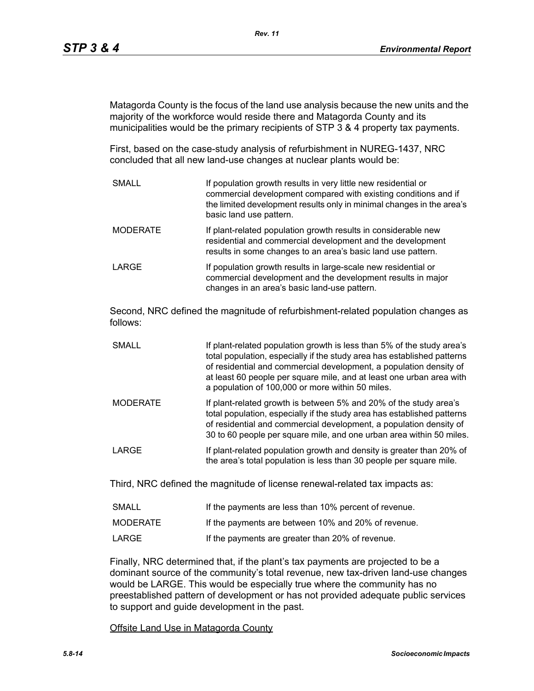Matagorda County is the focus of the land use analysis because the new units and the majority of the workforce would reside there and Matagorda County and its municipalities would be the primary recipients of STP 3 & 4 property tax payments.

First, based on the case-study analysis of refurbishment in NUREG-1437, NRC concluded that all new land-use changes at nuclear plants would be:

SMALL **If population growth results in very little new residential or** commercial development compared with existing conditions and if the limited development results only in minimal changes in the area's basic land use pattern. MODERATE **If plant-related population growth results in considerable new** residential and commercial development and the development results in some changes to an area's basic land use pattern. LARGE **If population growth results in large-scale new residential or** commercial development and the development results in major changes in an area's basic land-use pattern.

Second, NRC defined the magnitude of refurbishment-related population changes as follows:

- SMALL **If plant-related population growth is less than 5% of the study area's** total population, especially if the study area has established patterns of residential and commercial development, a population density of at least 60 people per square mile, and at least one urban area with a population of 100,000 or more within 50 miles.
- MODERATE If plant-related growth is between 5% and 20% of the study area's total population, especially if the study area has established patterns of residential and commercial development, a population density of 30 to 60 people per square mile, and one urban area within 50 miles.
- LARGE **If plant-related population growth and density is greater than 20% of** the area's total population is less than 30 people per square mile.

Third, NRC defined the magnitude of license renewal-related tax impacts as:

| <b>SMALL</b> | If the payments are less than 10% percent of revenue. |
|--------------|-------------------------------------------------------|
| MODERATE     | If the payments are between 10% and 20% of revenue.   |
| LARGE        | If the payments are greater than 20% of revenue.      |

Finally, NRC determined that, if the plant's tax payments are projected to be a dominant source of the community's total revenue, new tax-driven land-use changes would be LARGE. This would be especially true where the community has no preestablished pattern of development or has not provided adequate public services to support and guide development in the past.

Offsite Land Use in Matagorda County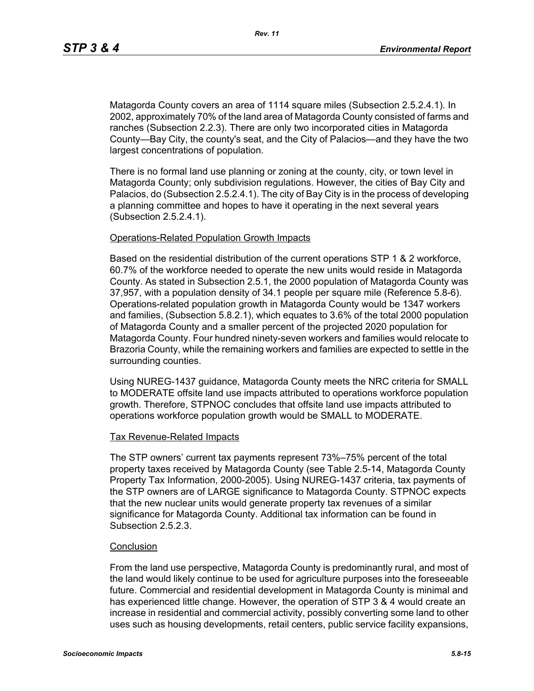Matagorda County covers an area of 1114 square miles (Subsection 2.5.2.4.1). In 2002, approximately 70% of the land area of Matagorda County consisted of farms and ranches (Subsection 2.2.3). There are only two incorporated cities in Matagorda County—Bay City, the county's seat, and the City of Palacios—and they have the two largest concentrations of population.

There is no formal land use planning or zoning at the county, city, or town level in Matagorda County; only subdivision regulations. However, the cities of Bay City and Palacios, do (Subsection 2.5.2.4.1). The city of Bay City is in the process of developing a planning committee and hopes to have it operating in the next several years (Subsection 2.5.2.4.1).

#### Operations-Related Population Growth Impacts

Based on the residential distribution of the current operations STP 1 & 2 workforce, 60.7% of the workforce needed to operate the new units would reside in Matagorda County. As stated in Subsection 2.5.1, the 2000 population of Matagorda County was 37,957, with a population density of 34.1 people per square mile (Reference 5.8-6). Operations-related population growth in Matagorda County would be 1347 workers and families, (Subsection 5.8.2.1), which equates to 3.6% of the total 2000 population of Matagorda County and a smaller percent of the projected 2020 population for Matagorda County. Four hundred ninety-seven workers and families would relocate to Brazoria County, while the remaining workers and families are expected to settle in the surrounding counties.

Using NUREG-1437 guidance, Matagorda County meets the NRC criteria for SMALL to MODERATE offsite land use impacts attributed to operations workforce population growth. Therefore, STPNOC concludes that offsite land use impacts attributed to operations workforce population growth would be SMALL to MODERATE.

#### Tax Revenue-Related Impacts

The STP owners' current tax payments represent 73%–75% percent of the total property taxes received by Matagorda County (see Table 2.5-14, Matagorda County Property Tax Information, 2000-2005). Using NUREG-1437 criteria, tax payments of the STP owners are of LARGE significance to Matagorda County. STPNOC expects that the new nuclear units would generate property tax revenues of a similar significance for Matagorda County. Additional tax information can be found in Subsection 2.5.2.3.

### **Conclusion**

From the land use perspective, Matagorda County is predominantly rural, and most of the land would likely continue to be used for agriculture purposes into the foreseeable future. Commercial and residential development in Matagorda County is minimal and has experienced little change. However, the operation of STP 3 & 4 would create an increase in residential and commercial activity, possibly converting some land to other uses such as housing developments, retail centers, public service facility expansions,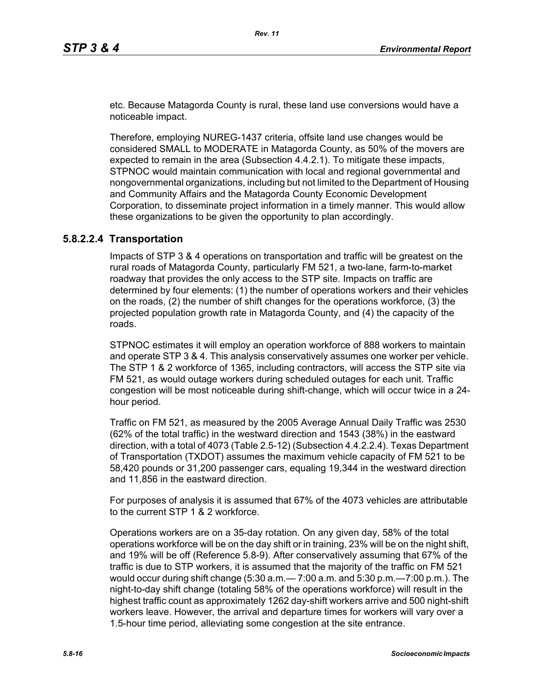etc. Because Matagorda County is rural, these land use conversions would have a noticeable impact.

Therefore, employing NUREG-1437 criteria, offsite land use changes would be considered SMALL to MODERATE in Matagorda County, as 50% of the movers are expected to remain in the area (Subsection 4.4.2.1). To mitigate these impacts, STPNOC would maintain communication with local and regional governmental and nongovernmental organizations, including but not limited to the Department of Housing and Community Affairs and the Matagorda County Economic Development Corporation, to disseminate project information in a timely manner. This would allow these organizations to be given the opportunity to plan accordingly.

### **5.8.2.2.4 Transportation**

Impacts of STP 3 & 4 operations on transportation and traffic will be greatest on the rural roads of Matagorda County, particularly FM 521, a two-lane, farm-to-market roadway that provides the only access to the STP site. Impacts on traffic are determined by four elements: (1) the number of operations workers and their vehicles on the roads, (2) the number of shift changes for the operations workforce, (3) the projected population growth rate in Matagorda County, and (4) the capacity of the roads.

STPNOC estimates it will employ an operation workforce of 888 workers to maintain and operate STP 3 & 4. This analysis conservatively assumes one worker per vehicle. The STP 1 & 2 workforce of 1365, including contractors, will access the STP site via FM 521, as would outage workers during scheduled outages for each unit. Traffic congestion will be most noticeable during shift-change, which will occur twice in a 24 hour period.

Traffic on FM 521, as measured by the 2005 Average Annual Daily Traffic was 2530 (62% of the total traffic) in the westward direction and 1543 (38%) in the eastward direction, with a total of 4073 (Table 2.5-12) (Subsection 4.4.2.2.4). Texas Department of Transportation (TXDOT) assumes the maximum vehicle capacity of FM 521 to be 58,420 pounds or 31,200 passenger cars, equaling 19,344 in the westward direction and 11,856 in the eastward direction.

For purposes of analysis it is assumed that 67% of the 4073 vehicles are attributable to the current STP 1 & 2 workforce.

Operations workers are on a 35-day rotation. On any given day, 58% of the total operations workforce will be on the day shift or in training, 23% will be on the night shift, and 19% will be off (Reference 5.8-9). After conservatively assuming that 67% of the traffic is due to STP workers, it is assumed that the majority of the traffic on FM 521 would occur during shift change (5:30 a.m.— 7:00 a.m. and 5:30 p.m.—7:00 p.m.). The night-to-day shift change (totaling 58% of the operations workforce) will result in the highest traffic count as approximately 1262 day-shift workers arrive and 500 night-shift workers leave. However, the arrival and departure times for workers will vary over a 1.5-hour time period, alleviating some congestion at the site entrance.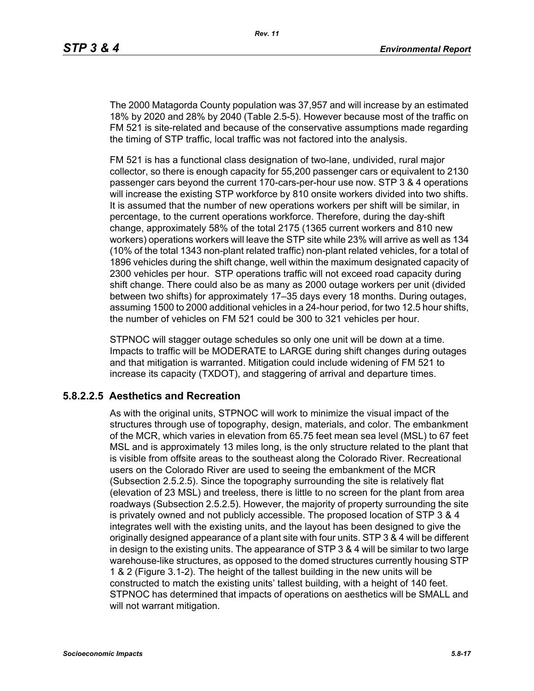The 2000 Matagorda County population was 37,957 and will increase by an estimated 18% by 2020 and 28% by 2040 (Table 2.5-5). However because most of the traffic on FM 521 is site-related and because of the conservative assumptions made regarding the timing of STP traffic, local traffic was not factored into the analysis.

FM 521 is has a functional class designation of two-lane, undivided, rural major collector, so there is enough capacity for 55,200 passenger cars or equivalent to 2130 passenger cars beyond the current 170-cars-per-hour use now. STP 3 & 4 operations will increase the existing STP workforce by 810 onsite workers divided into two shifts. It is assumed that the number of new operations workers per shift will be similar, in percentage, to the current operations workforce. Therefore, during the day-shift change, approximately 58% of the total 2175 (1365 current workers and 810 new workers) operations workers will leave the STP site while 23% will arrive as well as 134 (10% of the total 1343 non-plant related traffic) non-plant related vehicles, for a total of 1896 vehicles during the shift change, well within the maximum designated capacity of 2300 vehicles per hour. STP operations traffic will not exceed road capacity during shift change. There could also be as many as 2000 outage workers per unit (divided between two shifts) for approximately 17–35 days every 18 months. During outages, assuming 1500 to 2000 additional vehicles in a 24-hour period, for two 12.5 hour shifts, the number of vehicles on FM 521 could be 300 to 321 vehicles per hour.

STPNOC will stagger outage schedules so only one unit will be down at a time. Impacts to traffic will be MODERATE to LARGE during shift changes during outages and that mitigation is warranted. Mitigation could include widening of FM 521 to increase its capacity (TXDOT), and staggering of arrival and departure times.

## **5.8.2.2.5 Aesthetics and Recreation**

As with the original units, STPNOC will work to minimize the visual impact of the structures through use of topography, design, materials, and color. The embankment of the MCR, which varies in elevation from 65.75 feet mean sea level (MSL) to 67 feet MSL and is approximately 13 miles long, is the only structure related to the plant that is visible from offsite areas to the southeast along the Colorado River. Recreational users on the Colorado River are used to seeing the embankment of the MCR (Subsection 2.5.2.5). Since the topography surrounding the site is relatively flat (elevation of 23 MSL) and treeless, there is little to no screen for the plant from area roadways (Subsection 2.5.2.5). However, the majority of property surrounding the site is privately owned and not publicly accessible. The proposed location of STP 3 & 4 integrates well with the existing units, and the layout has been designed to give the originally designed appearance of a plant site with four units. STP 3 & 4 will be different in design to the existing units. The appearance of STP 3 & 4 will be similar to two large warehouse-like structures, as opposed to the domed structures currently housing STP 1 & 2 (Figure 3.1-2). The height of the tallest building in the new units will be constructed to match the existing units' tallest building, with a height of 140 feet. STPNOC has determined that impacts of operations on aesthetics will be SMALL and will not warrant mitigation.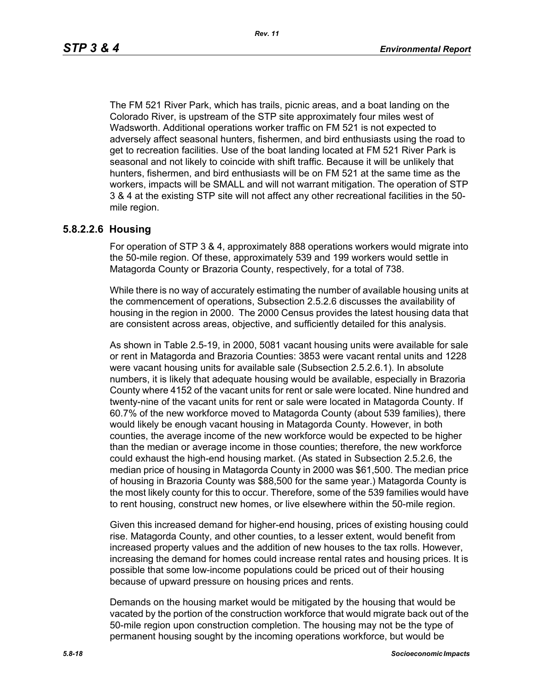The FM 521 River Park, which has trails, picnic areas, and a boat landing on the Colorado River, is upstream of the STP site approximately four miles west of Wadsworth. Additional operations worker traffic on FM 521 is not expected to adversely affect seasonal hunters, fishermen, and bird enthusiasts using the road to get to recreation facilities. Use of the boat landing located at FM 521 River Park is seasonal and not likely to coincide with shift traffic. Because it will be unlikely that hunters, fishermen, and bird enthusiasts will be on FM 521 at the same time as the workers, impacts will be SMALL and will not warrant mitigation. The operation of STP 3 & 4 at the existing STP site will not affect any other recreational facilities in the 50 mile region.

### **5.8.2.2.6 Housing**

For operation of STP 3 & 4, approximately 888 operations workers would migrate into the 50-mile region. Of these, approximately 539 and 199 workers would settle in Matagorda County or Brazoria County, respectively, for a total of 738.

While there is no way of accurately estimating the number of available housing units at the commencement of operations, Subsection 2.5.2.6 discusses the availability of housing in the region in 2000. The 2000 Census provides the latest housing data that are consistent across areas, objective, and sufficiently detailed for this analysis.

As shown in Table 2.5-19, in 2000, 5081 vacant housing units were available for sale or rent in Matagorda and Brazoria Counties: 3853 were vacant rental units and 1228 were vacant housing units for available sale (Subsection 2.5.2.6.1). In absolute numbers, it is likely that adequate housing would be available, especially in Brazoria County where 4152 of the vacant units for rent or sale were located. Nine hundred and twenty-nine of the vacant units for rent or sale were located in Matagorda County. If 60.7% of the new workforce moved to Matagorda County (about 539 families), there would likely be enough vacant housing in Matagorda County. However, in both counties, the average income of the new workforce would be expected to be higher than the median or average income in those counties; therefore, the new workforce could exhaust the high-end housing market. (As stated in Subsection 2.5.2.6, the median price of housing in Matagorda County in 2000 was \$61,500. The median price of housing in Brazoria County was \$88,500 for the same year.) Matagorda County is the most likely county for this to occur. Therefore, some of the 539 families would have to rent housing, construct new homes, or live elsewhere within the 50-mile region.

Given this increased demand for higher-end housing, prices of existing housing could rise. Matagorda County, and other counties, to a lesser extent, would benefit from increased property values and the addition of new houses to the tax rolls. However, increasing the demand for homes could increase rental rates and housing prices. It is possible that some low-income populations could be priced out of their housing because of upward pressure on housing prices and rents.

Demands on the housing market would be mitigated by the housing that would be vacated by the portion of the construction workforce that would migrate back out of the 50-mile region upon construction completion. The housing may not be the type of permanent housing sought by the incoming operations workforce, but would be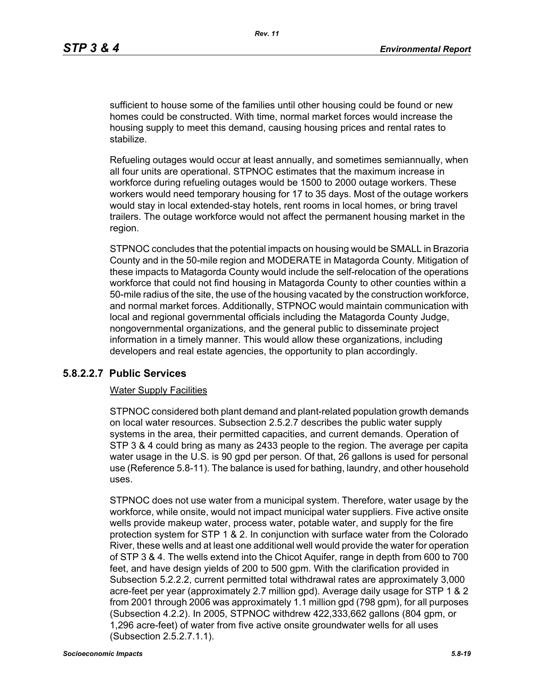sufficient to house some of the families until other housing could be found or new homes could be constructed. With time, normal market forces would increase the housing supply to meet this demand, causing housing prices and rental rates to stabilize.

Refueling outages would occur at least annually, and sometimes semiannually, when all four units are operational. STPNOC estimates that the maximum increase in workforce during refueling outages would be 1500 to 2000 outage workers. These workers would need temporary housing for 17 to 35 days. Most of the outage workers would stay in local extended-stay hotels, rent rooms in local homes, or bring travel trailers. The outage workforce would not affect the permanent housing market in the region.

STPNOC concludes that the potential impacts on housing would be SMALL in Brazoria County and in the 50-mile region and MODERATE in Matagorda County. Mitigation of these impacts to Matagorda County would include the self-relocation of the operations workforce that could not find housing in Matagorda County to other counties within a 50-mile radius of the site, the use of the housing vacated by the construction workforce, and normal market forces. Additionally, STPNOC would maintain communication with local and regional governmental officials including the Matagorda County Judge, nongovernmental organizations, and the general public to disseminate project information in a timely manner. This would allow these organizations, including developers and real estate agencies, the opportunity to plan accordingly.

### **5.8.2.2.7 Public Services**

#### Water Supply Facilities

STPNOC considered both plant demand and plant-related population growth demands on local water resources. Subsection 2.5.2.7 describes the public water supply systems in the area, their permitted capacities, and current demands. Operation of STP 3 & 4 could bring as many as 2433 people to the region. The average per capita water usage in the U.S. is 90 gpd per person. Of that, 26 gallons is used for personal use (Reference 5.8-11). The balance is used for bathing, laundry, and other household uses.

STPNOC does not use water from a municipal system. Therefore, water usage by the workforce, while onsite, would not impact municipal water suppliers. Five active onsite wells provide makeup water, process water, potable water, and supply for the fire protection system for STP 1 & 2. In conjunction with surface water from the Colorado River, these wells and at least one additional well would provide the water for operation of STP 3 & 4. The wells extend into the Chicot Aquifer, range in depth from 600 to 700 feet, and have design yields of 200 to 500 gpm. With the clarification provided in Subsection 5.2.2.2, current permitted total withdrawal rates are approximately 3,000 acre-feet per year (approximately 2.7 million gpd). Average daily usage for STP 1 & 2 from 2001 through 2006 was approximately 1.1 million gpd (798 gpm), for all purposes (Subsection 4.2.2). In 2005, STPNOC withdrew 422,333,662 gallons (804 gpm, or 1,296 acre-feet) of water from five active onsite groundwater wells for all uses (Subsection 2.5.2.7.1.1).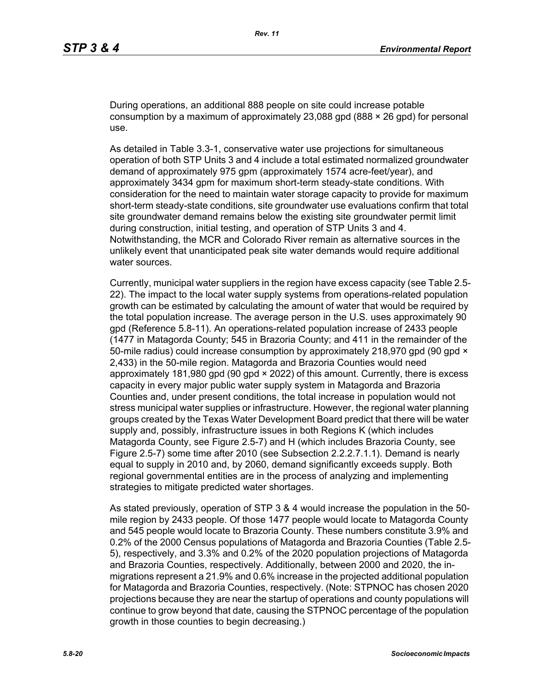During operations, an additional 888 people on site could increase potable consumption by a maximum of approximately 23,088 gpd (888  $\times$  26 gpd) for personal use.

As detailed in Table 3.3-1, conservative water use projections for simultaneous operation of both STP Units 3 and 4 include a total estimated normalized groundwater demand of approximately 975 gpm (approximately 1574 acre-feet/year), and approximately 3434 gpm for maximum short-term steady-state conditions. With consideration for the need to maintain water storage capacity to provide for maximum short-term steady-state conditions, site groundwater use evaluations confirm that total site groundwater demand remains below the existing site groundwater permit limit during construction, initial testing, and operation of STP Units 3 and 4. Notwithstanding, the MCR and Colorado River remain as alternative sources in the unlikely event that unanticipated peak site water demands would require additional water sources.

Currently, municipal water suppliers in the region have excess capacity (see Table 2.5- 22). The impact to the local water supply systems from operations-related population growth can be estimated by calculating the amount of water that would be required by the total population increase. The average person in the U.S. uses approximately 90 gpd (Reference 5.8-11). An operations-related population increase of 2433 people (1477 in Matagorda County; 545 in Brazoria County; and 411 in the remainder of the 50-mile radius) could increase consumption by approximately 218,970 gpd (90 gpd  $\times$ 2,433) in the 50-mile region. Matagorda and Brazoria Counties would need approximately 181,980 gpd (90 gpd × 2022) of this amount. Currently, there is excess capacity in every major public water supply system in Matagorda and Brazoria Counties and, under present conditions, the total increase in population would not stress municipal water supplies or infrastructure. However, the regional water planning groups created by the Texas Water Development Board predict that there will be water supply and, possibly, infrastructure issues in both Regions K (which includes Matagorda County, see Figure 2.5-7) and H (which includes Brazoria County, see Figure 2.5-7) some time after 2010 (see Subsection 2.2.2.7.1.1). Demand is nearly equal to supply in 2010 and, by 2060, demand significantly exceeds supply. Both regional governmental entities are in the process of analyzing and implementing strategies to mitigate predicted water shortages.

As stated previously, operation of STP 3 & 4 would increase the population in the 50 mile region by 2433 people. Of those 1477 people would locate to Matagorda County and 545 people would locate to Brazoria County. These numbers constitute 3.9% and 0.2% of the 2000 Census populations of Matagorda and Brazoria Counties (Table 2.5- 5), respectively, and 3.3% and 0.2% of the 2020 population projections of Matagorda and Brazoria Counties, respectively. Additionally, between 2000 and 2020, the inmigrations represent a 21.9% and 0.6% increase in the projected additional population for Matagorda and Brazoria Counties, respectively. (Note: STPNOC has chosen 2020 projections because they are near the startup of operations and county populations will continue to grow beyond that date, causing the STPNOC percentage of the population growth in those counties to begin decreasing.)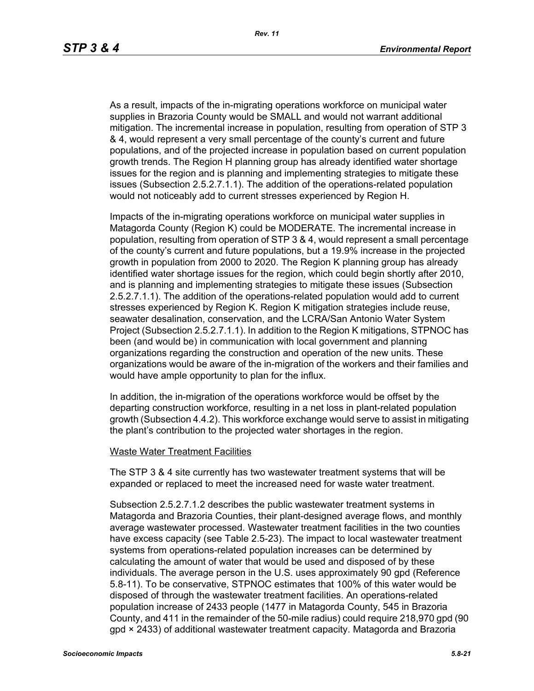As a result, impacts of the in-migrating operations workforce on municipal water supplies in Brazoria County would be SMALL and would not warrant additional mitigation. The incremental increase in population, resulting from operation of STP 3 & 4, would represent a very small percentage of the county's current and future populations, and of the projected increase in population based on current population growth trends. The Region H planning group has already identified water shortage issues for the region and is planning and implementing strategies to mitigate these issues (Subsection 2.5.2.7.1.1). The addition of the operations-related population would not noticeably add to current stresses experienced by Region H.

Impacts of the in-migrating operations workforce on municipal water supplies in Matagorda County (Region K) could be MODERATE. The incremental increase in population, resulting from operation of STP 3 & 4, would represent a small percentage of the county's current and future populations, but a 19.9% increase in the projected growth in population from 2000 to 2020. The Region K planning group has already identified water shortage issues for the region, which could begin shortly after 2010, and is planning and implementing strategies to mitigate these issues (Subsection 2.5.2.7.1.1). The addition of the operations-related population would add to current stresses experienced by Region K. Region K mitigation strategies include reuse, seawater desalination, conservation, and the LCRA/San Antonio Water System Project (Subsection 2.5.2.7.1.1). In addition to the Region K mitigations, STPNOC has been (and would be) in communication with local government and planning organizations regarding the construction and operation of the new units. These organizations would be aware of the in-migration of the workers and their families and would have ample opportunity to plan for the influx.

In addition, the in-migration of the operations workforce would be offset by the departing construction workforce, resulting in a net loss in plant-related population growth (Subsection 4.4.2). This workforce exchange would serve to assist in mitigating the plant's contribution to the projected water shortages in the region.

#### Waste Water Treatment Facilities

The STP 3 & 4 site currently has two wastewater treatment systems that will be expanded or replaced to meet the increased need for waste water treatment.

Subsection 2.5.2.7.1.2 describes the public wastewater treatment systems in Matagorda and Brazoria Counties, their plant-designed average flows, and monthly average wastewater processed. Wastewater treatment facilities in the two counties have excess capacity (see Table 2.5-23). The impact to local wastewater treatment systems from operations-related population increases can be determined by calculating the amount of water that would be used and disposed of by these individuals. The average person in the U.S. uses approximately 90 gpd (Reference 5.8-11). To be conservative, STPNOC estimates that 100% of this water would be disposed of through the wastewater treatment facilities. An operations-related population increase of 2433 people (1477 in Matagorda County, 545 in Brazoria County, and 411 in the remainder of the 50-mile radius) could require 218,970 gpd (90 gpd × 2433) of additional wastewater treatment capacity. Matagorda and Brazoria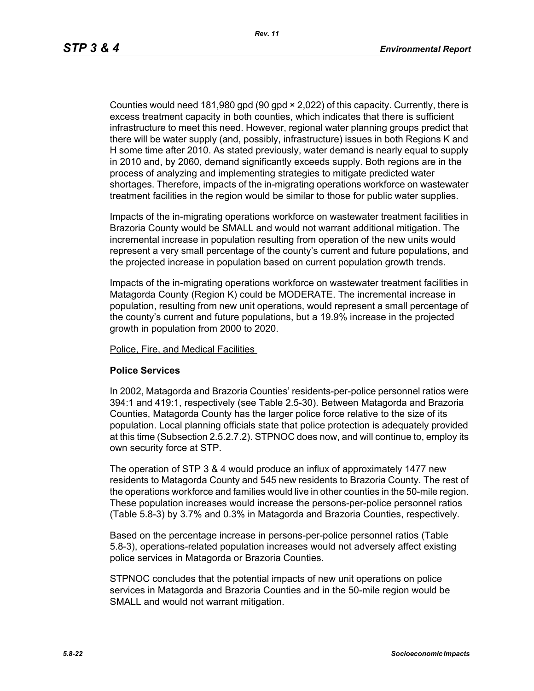Counties would need 181,980 gpd (90 gpd × 2,022) of this capacity. Currently, there is excess treatment capacity in both counties, which indicates that there is sufficient infrastructure to meet this need. However, regional water planning groups predict that there will be water supply (and, possibly, infrastructure) issues in both Regions K and H some time after 2010. As stated previously, water demand is nearly equal to supply in 2010 and, by 2060, demand significantly exceeds supply. Both regions are in the process of analyzing and implementing strategies to mitigate predicted water shortages. Therefore, impacts of the in-migrating operations workforce on wastewater treatment facilities in the region would be similar to those for public water supplies.

Impacts of the in-migrating operations workforce on wastewater treatment facilities in Brazoria County would be SMALL and would not warrant additional mitigation. The incremental increase in population resulting from operation of the new units would represent a very small percentage of the county's current and future populations, and the projected increase in population based on current population growth trends.

Impacts of the in-migrating operations workforce on wastewater treatment facilities in Matagorda County (Region K) could be MODERATE. The incremental increase in population, resulting from new unit operations, would represent a small percentage of the county's current and future populations, but a 19.9% increase in the projected growth in population from 2000 to 2020.

Police, Fire, and Medical Facilities

#### **Police Services**

In 2002, Matagorda and Brazoria Counties' residents-per-police personnel ratios were 394:1 and 419:1, respectively (see Table 2.5-30). Between Matagorda and Brazoria Counties, Matagorda County has the larger police force relative to the size of its population. Local planning officials state that police protection is adequately provided at this time (Subsection 2.5.2.7.2). STPNOC does now, and will continue to, employ its own security force at STP.

The operation of STP 3 & 4 would produce an influx of approximately 1477 new residents to Matagorda County and 545 new residents to Brazoria County. The rest of the operations workforce and families would live in other counties in the 50-mile region. These population increases would increase the persons-per-police personnel ratios (Table 5.8-3) by 3.7% and 0.3% in Matagorda and Brazoria Counties, respectively.

Based on the percentage increase in persons-per-police personnel ratios (Table 5.8-3), operations-related population increases would not adversely affect existing police services in Matagorda or Brazoria Counties.

STPNOC concludes that the potential impacts of new unit operations on police services in Matagorda and Brazoria Counties and in the 50-mile region would be SMALL and would not warrant mitigation.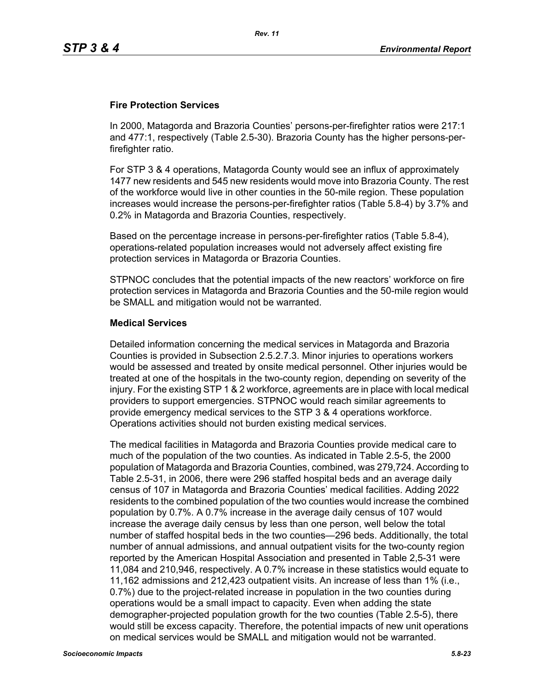## **Fire Protection Services**

In 2000, Matagorda and Brazoria Counties' persons-per-firefighter ratios were 217:1 and 477:1, respectively (Table 2.5-30). Brazoria County has the higher persons-perfirefighter ratio.

For STP 3 & 4 operations, Matagorda County would see an influx of approximately 1477 new residents and 545 new residents would move into Brazoria County. The rest of the workforce would live in other counties in the 50-mile region. These population increases would increase the persons-per-firefighter ratios (Table 5.8-4) by 3.7% and 0.2% in Matagorda and Brazoria Counties, respectively.

Based on the percentage increase in persons-per-firefighter ratios (Table 5.8-4), operations-related population increases would not adversely affect existing fire protection services in Matagorda or Brazoria Counties.

STPNOC concludes that the potential impacts of the new reactors' workforce on fire protection services in Matagorda and Brazoria Counties and the 50-mile region would be SMALL and mitigation would not be warranted.

#### **Medical Services**

Detailed information concerning the medical services in Matagorda and Brazoria Counties is provided in Subsection 2.5.2.7.3. Minor injuries to operations workers would be assessed and treated by onsite medical personnel. Other injuries would be treated at one of the hospitals in the two-county region, depending on severity of the injury. For the existing STP 1 & 2 workforce, agreements are in place with local medical providers to support emergencies. STPNOC would reach similar agreements to provide emergency medical services to the STP 3 & 4 operations workforce. Operations activities should not burden existing medical services.

The medical facilities in Matagorda and Brazoria Counties provide medical care to much of the population of the two counties. As indicated in Table 2.5-5, the 2000 population of Matagorda and Brazoria Counties, combined, was 279,724. According to Table 2.5-31, in 2006, there were 296 staffed hospital beds and an average daily census of 107 in Matagorda and Brazoria Counties' medical facilities. Adding 2022 residents to the combined population of the two counties would increase the combined population by 0.7%. A 0.7% increase in the average daily census of 107 would increase the average daily census by less than one person, well below the total number of staffed hospital beds in the two counties—296 beds. Additionally, the total number of annual admissions, and annual outpatient visits for the two-county region reported by the American Hospital Association and presented in Table 2,5-31 were 11,084 and 210,946, respectively. A 0.7% increase in these statistics would equate to 11,162 admissions and 212,423 outpatient visits. An increase of less than 1% (i.e., 0.7%) due to the project-related increase in population in the two counties during operations would be a small impact to capacity. Even when adding the state demographer-projected population growth for the two counties (Table 2.5-5), there would still be excess capacity. Therefore, the potential impacts of new unit operations on medical services would be SMALL and mitigation would not be warranted.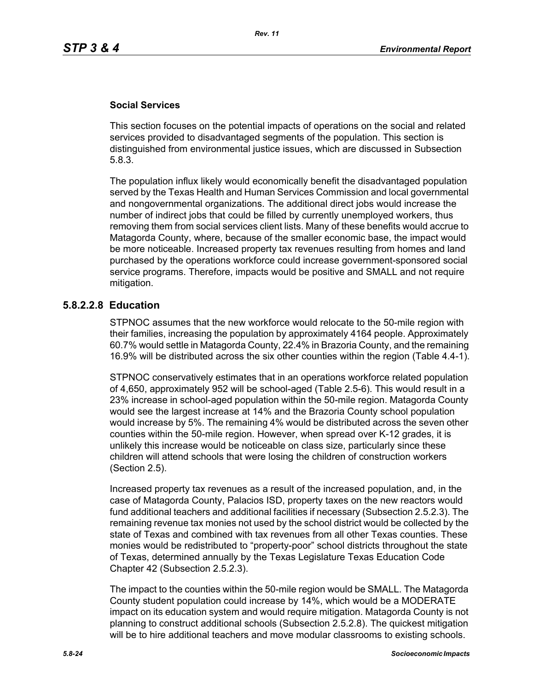## **Social Services**

This section focuses on the potential impacts of operations on the social and related services provided to disadvantaged segments of the population. This section is distinguished from environmental justice issues, which are discussed in Subsection 5.8.3.

The population influx likely would economically benefit the disadvantaged population served by the Texas Health and Human Services Commission and local governmental and nongovernmental organizations. The additional direct jobs would increase the number of indirect jobs that could be filled by currently unemployed workers, thus removing them from social services client lists. Many of these benefits would accrue to Matagorda County, where, because of the smaller economic base, the impact would be more noticeable. Increased property tax revenues resulting from homes and land purchased by the operations workforce could increase government-sponsored social service programs. Therefore, impacts would be positive and SMALL and not require mitigation.

## **5.8.2.2.8 Education**

STPNOC assumes that the new workforce would relocate to the 50-mile region with their families, increasing the population by approximately 4164 people. Approximately 60.7% would settle in Matagorda County, 22.4% in Brazoria County, and the remaining 16.9% will be distributed across the six other counties within the region (Table 4.4-1).

STPNOC conservatively estimates that in an operations workforce related population of 4,650, approximately 952 will be school-aged (Table 2.5-6). This would result in a 23% increase in school-aged population within the 50-mile region. Matagorda County would see the largest increase at 14% and the Brazoria County school population would increase by 5%. The remaining 4% would be distributed across the seven other counties within the 50-mile region. However, when spread over K-12 grades, it is unlikely this increase would be noticeable on class size, particularly since these children will attend schools that were losing the children of construction workers (Section 2.5).

Increased property tax revenues as a result of the increased population, and, in the case of Matagorda County, Palacios ISD, property taxes on the new reactors would fund additional teachers and additional facilities if necessary (Subsection 2.5.2.3). The remaining revenue tax monies not used by the school district would be collected by the state of Texas and combined with tax revenues from all other Texas counties. These monies would be redistributed to "property-poor" school districts throughout the state of Texas, determined annually by the Texas Legislature Texas Education Code Chapter 42 (Subsection 2.5.2.3).

The impact to the counties within the 50-mile region would be SMALL. The Matagorda County student population could increase by 14%, which would be a MODERATE impact on its education system and would require mitigation. Matagorda County is not planning to construct additional schools (Subsection 2.5.2.8). The quickest mitigation will be to hire additional teachers and move modular classrooms to existing schools.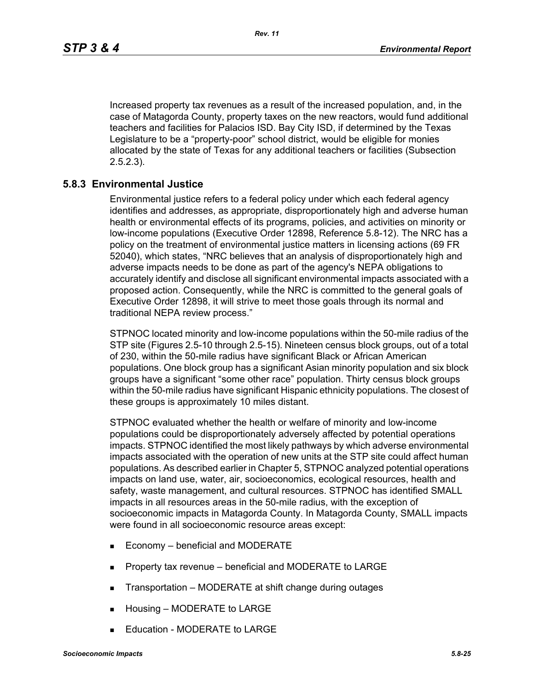Increased property tax revenues as a result of the increased population, and, in the case of Matagorda County, property taxes on the new reactors, would fund additional teachers and facilities for Palacios ISD. Bay City ISD, if determined by the Texas Legislature to be a "property-poor" school district, would be eligible for monies allocated by the state of Texas for any additional teachers or facilities (Subsection 2.5.2.3).

### **5.8.3 Environmental Justice**

Environmental justice refers to a federal policy under which each federal agency identifies and addresses, as appropriate, disproportionately high and adverse human health or environmental effects of its programs, policies, and activities on minority or low-income populations (Executive Order 12898, Reference 5.8-12). The NRC has a policy on the treatment of environmental justice matters in licensing actions (69 FR 52040), which states, "NRC believes that an analysis of disproportionately high and adverse impacts needs to be done as part of the agency's NEPA obligations to accurately identify and disclose all significant environmental impacts associated with a proposed action. Consequently, while the NRC is committed to the general goals of Executive Order 12898, it will strive to meet those goals through its normal and traditional NEPA review process."

STPNOC located minority and low-income populations within the 50-mile radius of the STP site (Figures 2.5-10 through 2.5-15). Nineteen census block groups, out of a total of 230, within the 50-mile radius have significant Black or African American populations. One block group has a significant Asian minority population and six block groups have a significant "some other race" population. Thirty census block groups within the 50-mile radius have significant Hispanic ethnicity populations. The closest of these groups is approximately 10 miles distant.

STPNOC evaluated whether the health or welfare of minority and low-income populations could be disproportionately adversely affected by potential operations impacts. STPNOC identified the most likely pathways by which adverse environmental impacts associated with the operation of new units at the STP site could affect human populations. As described earlier in Chapter 5, STPNOC analyzed potential operations impacts on land use, water, air, socioeconomics, ecological resources, health and safety, waste management, and cultural resources. STPNOC has identified SMALL impacts in all resources areas in the 50-mile radius, with the exception of socioeconomic impacts in Matagorda County. In Matagorda County, SMALL impacts were found in all socioeconomic resource areas except:

- Economy beneficial and MODERATE
- **Property tax revenue beneficial and MODERATE to LARGE**
- Transportation MODERATE at shift change during outages
- **Housing MODERATE to LARGE**
- Education MODERATE to LARGE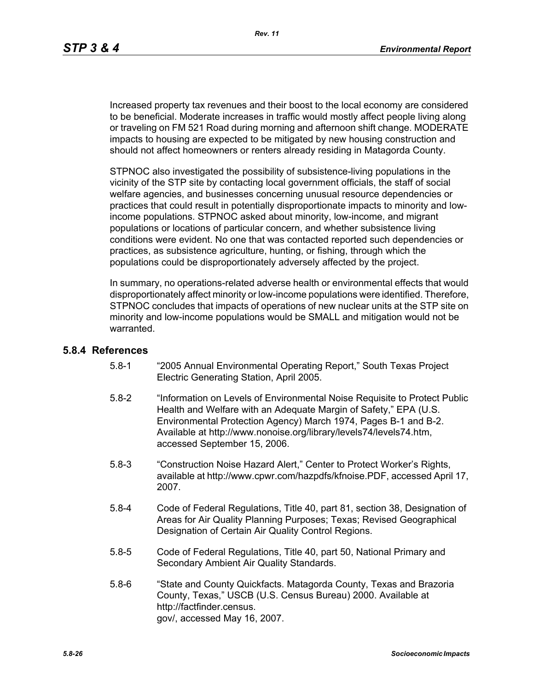Increased property tax revenues and their boost to the local economy are considered to be beneficial. Moderate increases in traffic would mostly affect people living along or traveling on FM 521 Road during morning and afternoon shift change. MODERATE impacts to housing are expected to be mitigated by new housing construction and should not affect homeowners or renters already residing in Matagorda County.

STPNOC also investigated the possibility of subsistence-living populations in the vicinity of the STP site by contacting local government officials, the staff of social welfare agencies, and businesses concerning unusual resource dependencies or practices that could result in potentially disproportionate impacts to minority and lowincome populations. STPNOC asked about minority, low-income, and migrant populations or locations of particular concern, and whether subsistence living conditions were evident. No one that was contacted reported such dependencies or practices, as subsistence agriculture, hunting, or fishing, through which the populations could be disproportionately adversely affected by the project.

In summary, no operations-related adverse health or environmental effects that would disproportionately affect minority or low-income populations were identified. Therefore, STPNOC concludes that impacts of operations of new nuclear units at the STP site on minority and low-income populations would be SMALL and mitigation would not be warranted.

#### **5.8.4 References**

- 5.8-1 "2005 Annual Environmental Operating Report," South Texas Project Electric Generating Station, April 2005.
- 5.8-2 "Information on Levels of Environmental Noise Requisite to Protect Public Health and Welfare with an Adequate Margin of Safety," EPA (U.S. Environmental Protection Agency) March 1974, Pages B-1 and B-2. Available at http://www.nonoise.org/library/levels74/levels74.htm, accessed September 15, 2006.
- 5.8-3 "Construction Noise Hazard Alert," Center to Protect Worker's Rights, available at http://www.cpwr.com/hazpdfs/kfnoise.PDF, accessed April 17, 2007.
- 5.8-4 Code of Federal Regulations, Title 40, part 81, section 38, Designation of Areas for Air Quality Planning Purposes; Texas; Revised Geographical Designation of Certain Air Quality Control Regions.
- 5.8-5 Code of Federal Regulations, Title 40, part 50, National Primary and Secondary Ambient Air Quality Standards.
- 5.8-6 "State and County Quickfacts. Matagorda County, Texas and Brazoria County, Texas," USCB (U.S. Census Bureau) 2000. Available at http://factfinder.census. gov/, accessed May 16, 2007.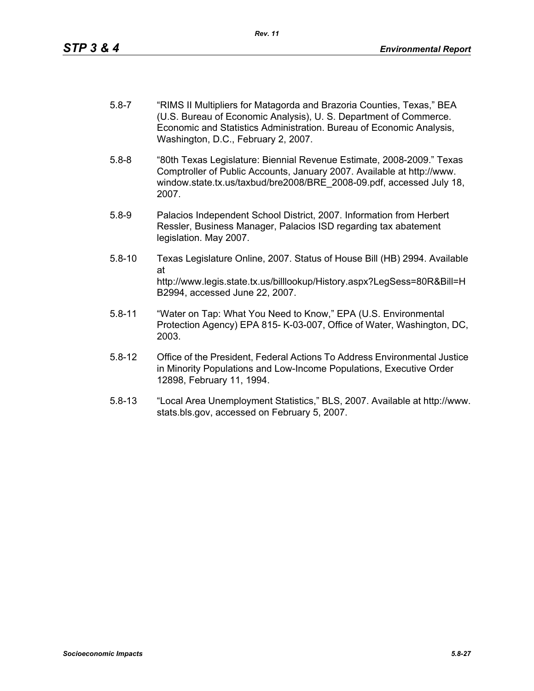- 5.8-7 "RIMS II Multipliers for Matagorda and Brazoria Counties, Texas," BEA (U.S. Bureau of Economic Analysis), U. S. Department of Commerce. Economic and Statistics Administration. Bureau of Economic Analysis, Washington, D.C., February 2, 2007.
- 5.8-8 "80th Texas Legislature: Biennial Revenue Estimate, 2008-2009." Texas Comptroller of Public Accounts, January 2007. Available at http://www. window.state.tx.us/taxbud/bre2008/BRE\_2008-09.pdf, accessed July 18, 2007.
- 5.8-9 Palacios Independent School District, 2007. Information from Herbert Ressler, Business Manager, Palacios ISD regarding tax abatement legislation. May 2007.
- 5.8-10 Texas Legislature Online, 2007. Status of House Bill (HB) 2994. Available at http://www.legis.state.tx.us/billlookup/History.aspx?LegSess=80R&Bill=H B2994, accessed June 22, 2007.
- 5.8-11 "Water on Tap: What You Need to Know," EPA (U.S. Environmental Protection Agency) EPA 815- K-03-007, Office of Water, Washington, DC, 2003.
- 5.8-12 Office of the President, Federal Actions To Address Environmental Justice in Minority Populations and Low-Income Populations, Executive Order 12898, February 11, 1994.
- 5.8-13 "Local Area Unemployment Statistics," BLS, 2007. Available at http://www. stats.bls.gov, accessed on February 5, 2007.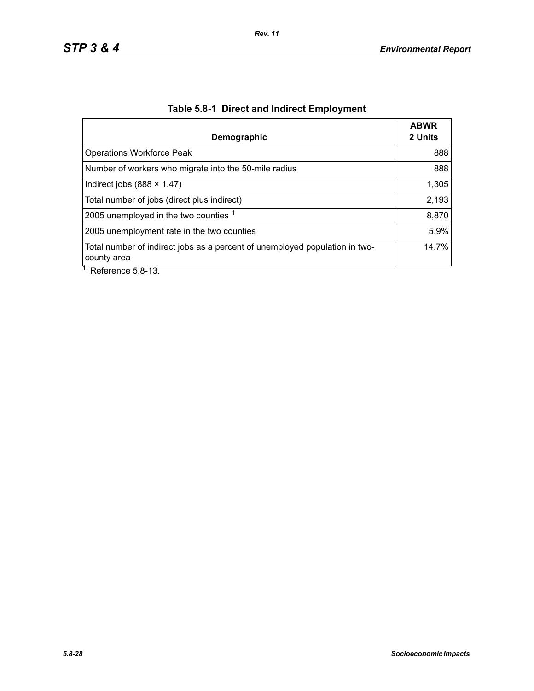| 2 Units |
|---------|
| 888     |
| 888     |
| 1,305   |
| 2,193   |
| 8,870   |
| 5.9%    |
| 14.7%   |
|         |

# **Table 5.8-1 Direct and Indirect Employment**

Reference 5.8-13.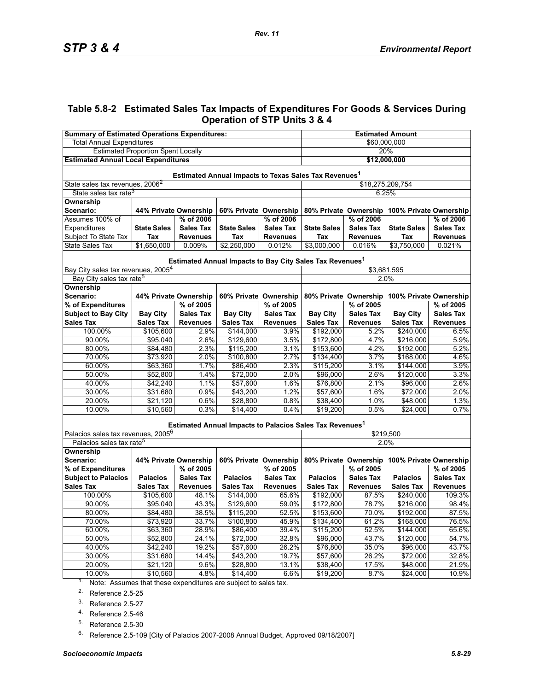## **Table 5.8-2 Estimated Sales Tax Impacts of Expenditures For Goods & Services During Operation of STP Units 3 & 4**

| <b>Summary of Estimated Operations Expenditures:</b>                           |                       |                       |                       | <b>Estimated Amount</b> |                                                                      |                  |                                              |                  |  |
|--------------------------------------------------------------------------------|-----------------------|-----------------------|-----------------------|-------------------------|----------------------------------------------------------------------|------------------|----------------------------------------------|------------------|--|
| <b>Total Annual Expenditures</b>                                               |                       |                       |                       | \$60,000,000            |                                                                      |                  |                                              |                  |  |
| <b>Estimated Proportion Spent Locally</b>                                      |                       |                       |                       | 20%                     |                                                                      |                  |                                              |                  |  |
| <b>Estimated Annual Local Expenditures</b>                                     |                       |                       |                       |                         | \$12,000,000                                                         |                  |                                              |                  |  |
| Estimated Annual Impacts to Texas Sales Tax Revenues <sup>1</sup>              |                       |                       |                       |                         |                                                                      |                  |                                              |                  |  |
| State sales tax revenues, 2006 <sup>2</sup>                                    |                       |                       |                       |                         | \$18,275,209,754                                                     |                  |                                              |                  |  |
| State sales tax rate <sup>3</sup>                                              |                       |                       |                       |                         | 6.25%                                                                |                  |                                              |                  |  |
| Ownership                                                                      |                       |                       |                       |                         |                                                                      |                  |                                              |                  |  |
| Scenario:                                                                      | 44% Private Ownership |                       | 60% Private Ownership |                         | 80% Private Ownership                                                |                  | 100% Private Ownership                       |                  |  |
| Assumes 100% of                                                                |                       | % of 2006             |                       | % of 2006               |                                                                      | % of 2006        |                                              | % of 2006        |  |
| Expenditures                                                                   | <b>State Sales</b>    | <b>Sales Tax</b>      | <b>State Sales</b>    | <b>Sales Tax</b>        | <b>State Sales</b>                                                   | <b>Sales Tax</b> | <b>State Sales</b>                           | <b>Sales Tax</b> |  |
| Subject To State Tax                                                           | Tax                   | <b>Revenues</b>       | Tax                   | <b>Revenues</b>         | Tax                                                                  | <b>Revenues</b>  | Tax                                          | <b>Revenues</b>  |  |
| <b>State Sales Tax</b>                                                         | \$1,650,000           | 0.009%                | \$2,250,000           | 0.012%                  | \$3,000,000                                                          | 0.016%           | \$3,750,000                                  | 0.021%           |  |
|                                                                                |                       |                       |                       |                         | Estimated Annual Impacts to Bay City Sales Tax Revenues <sup>1</sup> |                  |                                              |                  |  |
| Bay City sales tax revenues, 2005 <sup>4</sup>                                 |                       |                       |                       |                         |                                                                      | \$3,681,595      |                                              |                  |  |
| Bay City sales tax rate <sup>5</sup>                                           |                       |                       |                       |                         |                                                                      | 2.0%             |                                              |                  |  |
| <b>Ownership</b>                                                               |                       |                       |                       |                         |                                                                      |                  |                                              |                  |  |
| Scenario:                                                                      | 44% Private Ownership |                       | 60% Private Ownership |                         |                                                                      |                  | 80% Private Ownership 100% Private Ownership |                  |  |
| % of Expenditures                                                              |                       | % of 2005             |                       | % of 2005               |                                                                      | % of 2005        |                                              | % of 2005        |  |
| <b>Subject to Bay City</b>                                                     | <b>Bay City</b>       | <b>Sales Tax</b>      | <b>Bay City</b>       | <b>Sales Tax</b>        | <b>Bay City</b>                                                      | <b>Sales Tax</b> | <b>Bay City</b>                              | <b>Sales Tax</b> |  |
| <b>Sales Tax</b>                                                               | <b>Sales Tax</b>      | <b>Revenues</b>       | <b>Sales Tax</b>      | <b>Revenues</b>         | <b>Sales Tax</b>                                                     | <b>Revenues</b>  | <b>Sales Tax</b>                             | <b>Revenues</b>  |  |
| 100.00%                                                                        | \$105,600             | 2.9%                  | \$144,000             | 3.9%                    | \$192,000                                                            | 5.2%             | \$240,000                                    | 6.5%             |  |
| 90.00%                                                                         | \$95,040              | 2.6%                  | \$129,600             | 3.5%                    | \$172,800                                                            | 4.7%             | \$216,000                                    | 5.9%             |  |
| 80.00%                                                                         | $\sqrt{$84,480}$      | 2.3%                  | \$115,200             | 3.1%                    | \$153,600                                                            | 4.2%             | \$192,000                                    | 5.2%             |  |
| 70.00%                                                                         | \$73,920              | 2.0%                  | \$100,800             | 2.7%                    | \$134,400                                                            | 3.7%             | \$168,000                                    | 4.6%             |  |
| 60.00%                                                                         | \$63,360              | 1.7%                  | \$86,400              | 2.3%                    | \$115,200                                                            | 3.1%             | \$144,000                                    | 3.9%             |  |
| 50.00%                                                                         | \$52,800              | 1.4%                  | \$72,000              | 2.0%                    | \$96,000                                                             | 2.6%             | \$120,000                                    | 3.3%             |  |
| 40.00%                                                                         | \$42,240              | 1.1%                  | \$57,600              | 1.6%                    | \$76,800                                                             | 2.1%             | \$96,000                                     | 2.6%             |  |
| 30.00%                                                                         | \$31,680              | 0.9%                  | \$43,200              | 1.2%                    | \$57,600                                                             | 1.6%             | \$72,000                                     | 2.0%             |  |
| 20.00%                                                                         | \$21,120              | 0.6%                  | \$28,800              | 0.8%                    | \$38,400                                                             | 1.0%             | \$48,000                                     | 1.3%             |  |
| 10.00%                                                                         | \$10,560              | 0.3%                  | \$14,400              | 0.4%                    | \$19,200                                                             | 0.5%             | \$24,000                                     | 0.7%             |  |
|                                                                                |                       |                       |                       |                         | Estimated Annual Impacts to Palacios Sales Tax Revenues <sup>1</sup> |                  |                                              |                  |  |
| Palacios sales tax revenues, 2005 <sup>6</sup>                                 |                       |                       |                       |                         | \$219,500                                                            |                  |                                              |                  |  |
| Palacios sales tax rate <sup>5</sup>                                           |                       |                       |                       |                         |                                                                      | 2.0%             |                                              |                  |  |
| Ownership                                                                      |                       |                       |                       |                         |                                                                      |                  |                                              |                  |  |
| Scenario:                                                                      |                       | 44% Private Ownership | 60% Private Ownership |                         | 80% Private Ownership                                                |                  | 100% Private Ownership                       |                  |  |
| % of Expenditures                                                              |                       | % of 2005             |                       | % of 2005               |                                                                      | % of 2005        |                                              | % of 2005        |  |
| <b>Subject to Palacios</b>                                                     | <b>Palacios</b>       | <b>Sales Tax</b>      | <b>Palacios</b>       | <b>Sales Tax</b>        | <b>Palacios</b>                                                      | <b>Sales Tax</b> | <b>Palacios</b>                              | <b>Sales Tax</b> |  |
| <b>Sales Tax</b>                                                               | <b>Sales Tax</b>      | <b>Revenues</b>       | <b>Sales Tax</b>      | <b>Revenues</b>         | <b>Sales Tax</b>                                                     | <b>Revenues</b>  | <b>Sales Tax</b>                             | <b>Revenues</b>  |  |
| 100.00%                                                                        | \$105,600             | 48.1%                 | \$144,000             | 65.6%                   | \$192,000                                                            | 87.5%            | \$240,000                                    | 109.3%           |  |
| 90.00%                                                                         | \$95,040              | 43.3%                 | \$129,600             | 59.0%                   | \$172,800                                                            | 78.7%            | \$216,000                                    | 98.4%            |  |
| 80.00%                                                                         | \$84,480              | 38.5%                 | \$115,200             | 52.5%                   | \$153,600                                                            | 70.0%            | \$192,000                                    | 87.5%            |  |
| 70.00%                                                                         | \$73,920              | 33.7%                 | \$100,800             | 45.9%                   | \$134,400                                                            | 61.2%            | \$168,000                                    | 76.5%            |  |
| 60.00%                                                                         | \$63,360              | 28.9%                 | \$86,400              | 39.4%                   | \$115,200                                                            | 52.5%            | \$144,000                                    | 65.6%            |  |
| 50.00%                                                                         | \$52,800              | 24.1%                 | \$72,000              | 32.8%                   | \$96,000                                                             | 43.7%            | \$120,000                                    | 54.7%            |  |
| 40.00%                                                                         | \$42,240              | 19.2%                 | \$57,600              | 26.2%                   | \$76,800                                                             | 35.0%            | \$96,000                                     | 43.7%            |  |
| 30.00%                                                                         | \$31,680              | 14.4%                 | \$43,200              | 19.7%                   | \$57,600                                                             | 26.2%            | \$72,000                                     | 32.8%            |  |
| 20.00%                                                                         | \$21,120              | 9.6%                  | \$28,800              | 13.1%                   | \$38,400                                                             | 17.5%            | \$48,000                                     | 21.9%            |  |
| 10.00%<br>$1.$ Note: Assumes that these expenditures are subject to sales tax. | \$10,560              | 4.8%                  | \$14,400              | 6.6%                    | \$19,200                                                             | 8.7%             | \$24,000                                     | 10.9%            |  |

Note: Assumes that these expenditures are subject to sales tax.

<span id="page-28-0"></span>2. Reference 2.5-25

3. Reference 2.5-27

4. Reference 2.5-46

<span id="page-28-1"></span>5. Reference 2.5-30

<sup>6.</sup> Reference 2.5-109 [City of Palacios 2007-2008 Annual Budget, Approved 09/18/2007]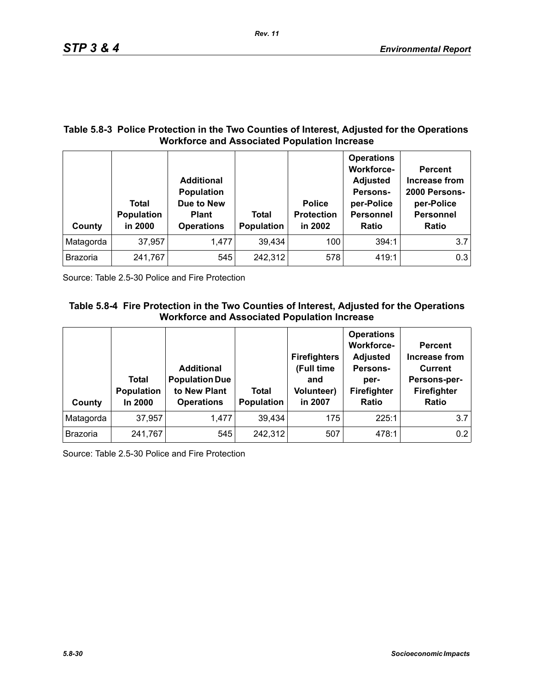## **Table 5.8-3 Police Protection in the Two Counties of Interest, Adjusted for the Operations Workforce and Associated Population Increase**

| County          | Total<br><b>Population</b><br>in 2000 | <b>Additional</b><br><b>Population</b><br>Due to New<br><b>Plant</b><br><b>Operations</b> | <b>Total</b><br><b>Population</b> | <b>Police</b><br><b>Protection</b><br>in 2002 | <b>Operations</b><br><b>Workforce-</b><br><b>Adjusted</b><br>Persons-<br>per-Police<br><b>Personnel</b><br>Ratio | <b>Percent</b><br>Increase from<br>2000 Persons-<br>per-Police<br><b>Personnel</b><br><b>Ratio</b> |
|-----------------|---------------------------------------|-------------------------------------------------------------------------------------------|-----------------------------------|-----------------------------------------------|------------------------------------------------------------------------------------------------------------------|----------------------------------------------------------------------------------------------------|
| Matagorda       | 37,957                                | 1,477                                                                                     | 39,434                            | 100                                           | 394:1                                                                                                            | 3.7                                                                                                |
| <b>Brazoria</b> | 241,767                               | 545                                                                                       | 242,312                           | 578                                           | 419:1                                                                                                            | 0.3                                                                                                |

Source: Table 2.5-30 Police and Fire Protection

# **Table 5.8-4 Fire Protection in the Two Counties of Interest, Adjusted for the Operations Workforce and Associated Population Increase**

| County          | Total<br>Population<br>In 2000 | <b>Additional</b><br><b>Population Due</b><br>to New Plant<br><b>Operations</b> | Total<br>Population | <b>Firefighters</b><br>(Full time<br>and<br><b>Volunteer)</b><br>in 2007 | <b>Operations</b><br><b>Workforce-</b><br><b>Adjusted</b><br>Persons-<br>per-<br>Firefighter<br>Ratio | <b>Percent</b><br><b>Increase from</b><br><b>Current</b><br>Persons-per-<br>Firefighter<br><b>Ratio</b> |
|-----------------|--------------------------------|---------------------------------------------------------------------------------|---------------------|--------------------------------------------------------------------------|-------------------------------------------------------------------------------------------------------|---------------------------------------------------------------------------------------------------------|
| Matagorda       | 37,957                         | 1,477                                                                           | 39,434              | 175                                                                      | 225:1                                                                                                 | 3.7                                                                                                     |
| <b>Brazoria</b> | 241,767                        | 545                                                                             | 242,312             | 507                                                                      | 478:1                                                                                                 | 0.2                                                                                                     |

Source: Table 2.5-30 Police and Fire Protection